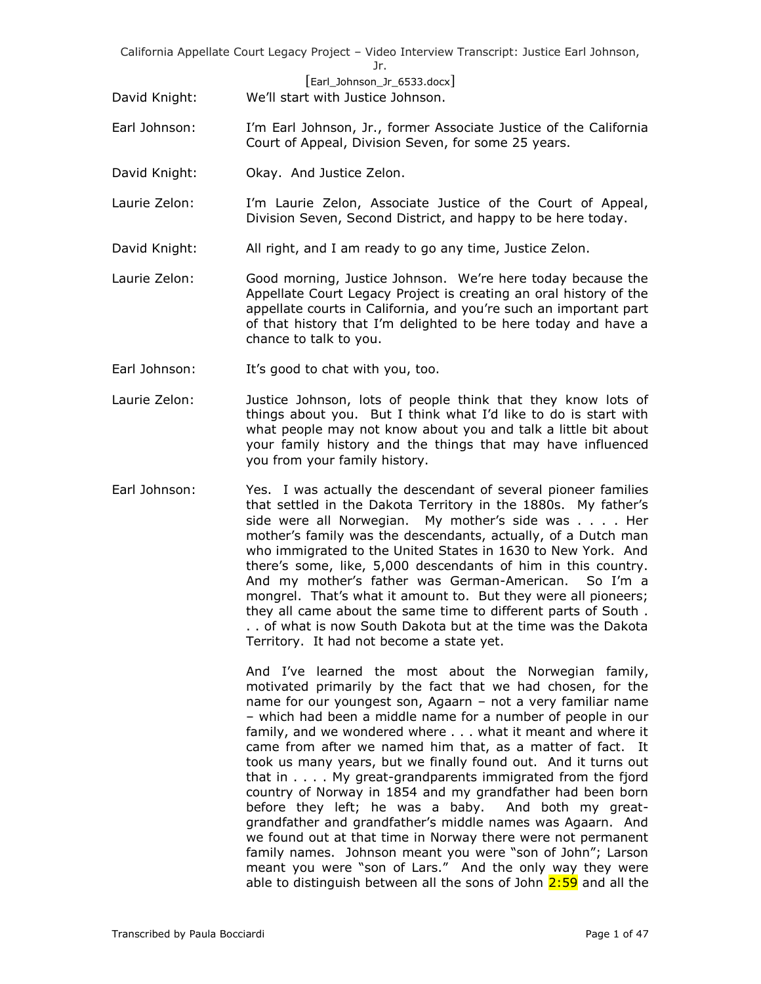[Earl\_Johnson\_Jr\_6533.docx]

David Knight: We'll start with Justice Johnson.

- Earl Johnson: I'm Earl Johnson, Jr., former Associate Justice of the California Court of Appeal, Division Seven, for some 25 years.
- David Knight: **Okay. And Justice Zelon.**
- Laurie Zelon: I'm Laurie Zelon, Associate Justice of the Court of Appeal, Division Seven, Second District, and happy to be here today.
- David Knight: All right, and I am ready to go any time, Justice Zelon.
- Laurie Zelon: Good morning, Justice Johnson. We're here today because the Appellate Court Legacy Project is creating an oral history of the appellate courts in California, and you're such an important part of that history that I'm delighted to be here today and have a chance to talk to you.
- Earl Johnson: It's good to chat with you, too.
- Laurie Zelon: Justice Johnson, lots of people think that they know lots of things about you. But I think what I'd like to do is start with what people may not know about you and talk a little bit about your family history and the things that may have influenced you from your family history.
- Earl Johnson: Yes. I was actually the descendant of several pioneer families that settled in the Dakota Territory in the 1880s. My father's side were all Norwegian. My mother's side was . . . . Her mother's family was the descendants, actually, of a Dutch man who immigrated to the United States in 1630 to New York. And there's some, like, 5,000 descendants of him in this country. And my mother's father was German-American. So I'm a mongrel. That's what it amount to. But they were all pioneers; they all came about the same time to different parts of South . . . of what is now South Dakota but at the time was the Dakota Territory. It had not become a state yet.

And I've learned the most about the Norwegian family, motivated primarily by the fact that we had chosen, for the name for our youngest son, Agaarn – not a very familiar name – which had been a middle name for a number of people in our family, and we wondered where . . . what it meant and where it came from after we named him that, as a matter of fact. It took us many years, but we finally found out. And it turns out that in . . . . My great-grandparents immigrated from the fjord country of Norway in 1854 and my grandfather had been born before they left; he was a baby. And both my greatgrandfather and grandfather's middle names was Agaarn. And we found out at that time in Norway there were not permanent family names. Johnson meant you were "son of John"; Larson meant you were "son of Lars." And the only way they were able to distinguish between all the sons of John  $2:59$  and all the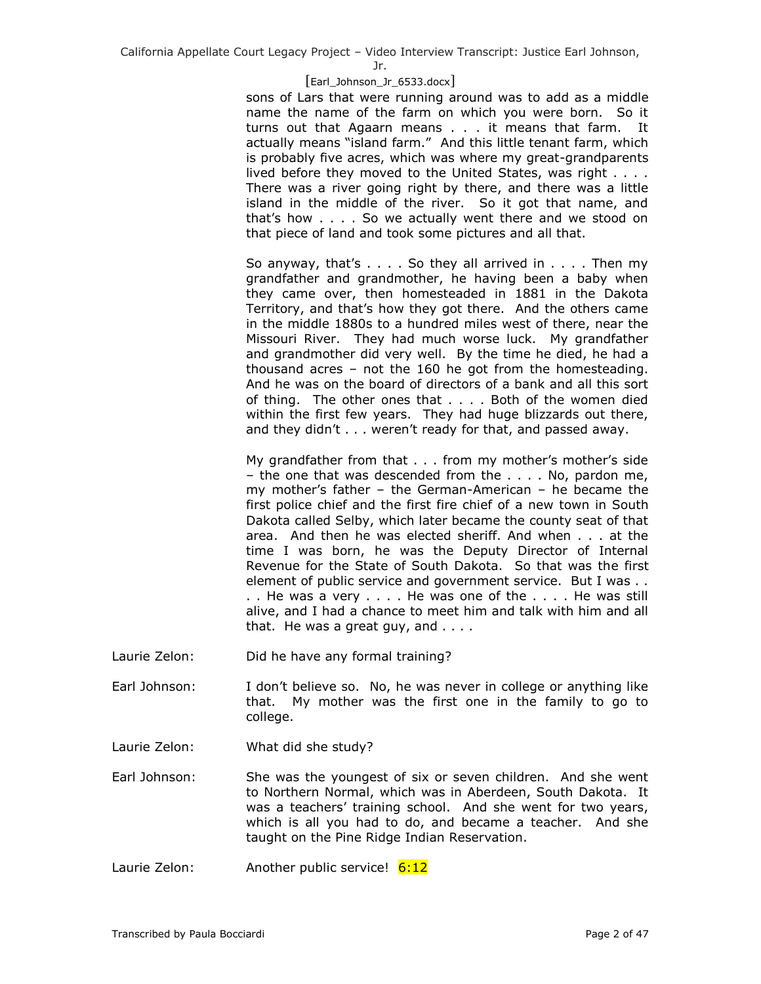Jr.

# [Earl\_Johnson\_Jr\_6533.docx]

sons of Lars that were running around was to add as a middle name the name of the farm on which you were born. So it turns out that Agaarn means . . . it means that farm. It actually means "island farm." And this little tenant farm, which is probably five acres, which was where my great-grandparents lived before they moved to the United States, was right . . . . There was a river going right by there, and there was a little island in the middle of the river. So it got that name, and that's how . . . . So we actually went there and we stood on that piece of land and took some pictures and all that.

So anyway, that's  $\dots$ . So they all arrived in  $\dots$ . Then my grandfather and grandmother, he having been a baby when they came over, then homesteaded in 1881 in the Dakota Territory, and that's how they got there. And the others came in the middle 1880s to a hundred miles west of there, near the Missouri River. They had much worse luck. My grandfather and grandmother did very well. By the time he died, he had a thousand acres – not the 160 he got from the homesteading. And he was on the board of directors of a bank and all this sort of thing. The other ones that . . . . Both of the women died within the first few years. They had huge blizzards out there, and they didn't . . . weren't ready for that, and passed away.

My grandfather from that . . . from my mother's mother's side – the one that was descended from the . . . . No, pardon me, my mother's father – the German-American – he became the first police chief and the first fire chief of a new town in South Dakota called Selby, which later became the county seat of that area. And then he was elected sheriff. And when . . . at the time I was born, he was the Deputy Director of Internal Revenue for the State of South Dakota. So that was the first element of public service and government service. But I was . . . . He was a very . . . . He was one of the . . . . He was still alive, and I had a chance to meet him and talk with him and all that. He was a great guy, and  $\ldots$ .

- Laurie Zelon: Did he have any formal training?
- Earl Johnson: I don't believe so. No, he was never in college or anything like that. My mother was the first one in the family to go to college.
- Laurie Zelon: What did she study?

Earl Johnson: She was the youngest of six or seven children. And she went to Northern Normal, which was in Aberdeen, South Dakota. It was a teachers' training school. And she went for two years, which is all you had to do, and became a teacher. And she taught on the Pine Ridge Indian Reservation.

Laurie Zelon: Another public service! 6:12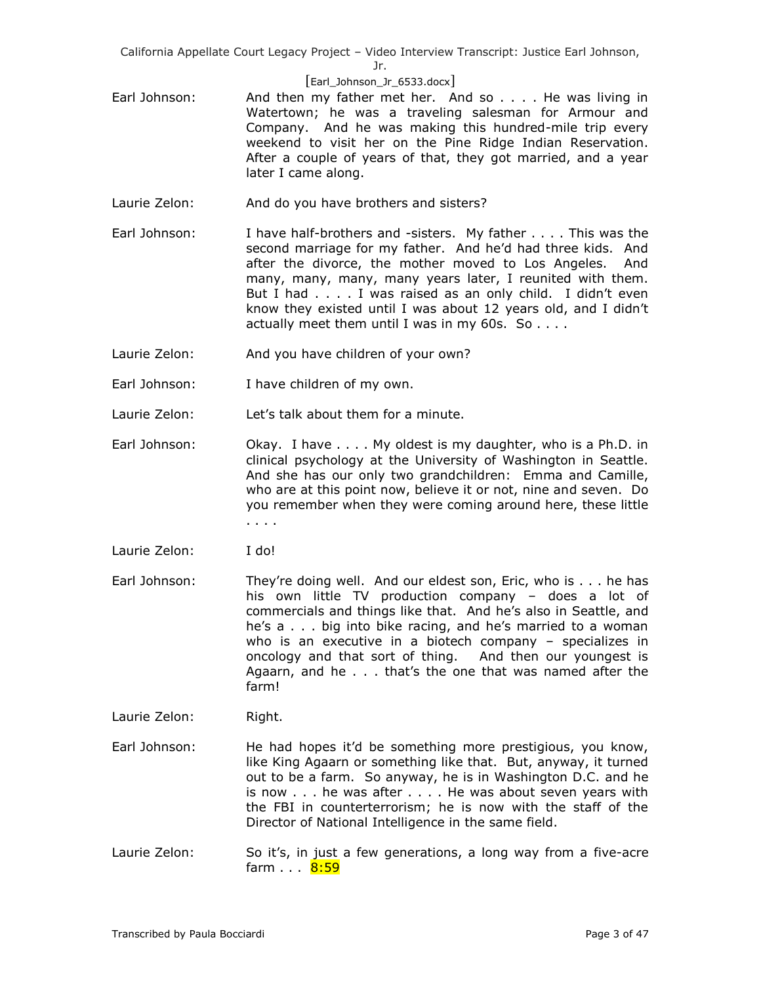Jr.

## [Earl\_Johnson\_Jr\_6533.docx]

- Earl Johnson: And then my father met her. And so . . . . He was living in Watertown; he was a traveling salesman for Armour and Company. And he was making this hundred-mile trip every weekend to visit her on the Pine Ridge Indian Reservation. After a couple of years of that, they got married, and a year later I came along.
- Laurie Zelon: And do you have brothers and sisters?
- Earl Johnson: I have half-brothers and -sisters. My father . . . . This was the second marriage for my father. And he'd had three kids. And after the divorce, the mother moved to Los Angeles. And many, many, many, many years later, I reunited with them. But I had . . . . I was raised as an only child. I didn't even know they existed until I was about 12 years old, and I didn't actually meet them until I was in my 60s. So . . . .
- Laurie Zelon: And you have children of your own?
- Earl Johnson: I have children of my own.
- Laurie Zelon: Let's talk about them for a minute.
- Earl Johnson: Okay. I have .... My oldest is my daughter, who is a Ph.D. in clinical psychology at the University of Washington in Seattle. And she has our only two grandchildren: Emma and Camille, who are at this point now, believe it or not, nine and seven. Do you remember when they were coming around here, these little . . . .
- Laurie Zelon: I do!
- Earl Johnson: They're doing well. And our eldest son, Eric, who is . . . he has his own little TV production company – does a lot of commercials and things like that. And he's also in Seattle, and he's a . . . big into bike racing, and he's married to a woman who is an executive in a biotech company – specializes in oncology and that sort of thing. And then our youngest is Agaarn, and he . . . that's the one that was named after the farm!
- Laurie Zelon: Right.
- Earl Johnson: He had hopes it'd be something more prestigious, you know, like King Agaarn or something like that. But, anyway, it turned out to be a farm. So anyway, he is in Washington D.C. and he is now . . . he was after . . . . He was about seven years with the FBI in counterterrorism; he is now with the staff of the Director of National Intelligence in the same field.
- Laurie Zelon: So it's, in just a few generations, a long way from a five-acre farm . . . 8:59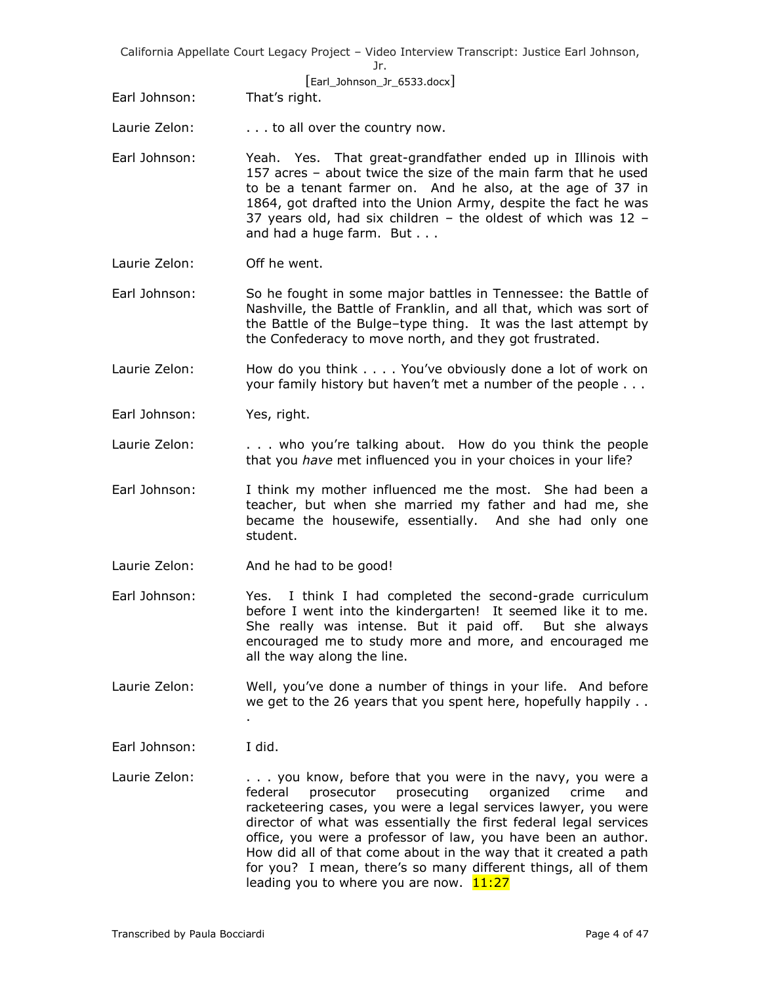[Earl\_Johnson\_Jr\_6533.docx]

- Earl Johnson: That's right.
- Laurie Zelon:  $\ldots$  to all over the country now.
- Earl Johnson: Yeah. Yes. That great-grandfather ended up in Illinois with 157 acres – about twice the size of the main farm that he used to be a tenant farmer on. And he also, at the age of 37 in 1864, got drafted into the Union Army, despite the fact he was 37 years old, had six children  $-$  the oldest of which was 12  $$ and had a huge farm. But . . .
- Laurie Zelon: Off he went.
- Earl Johnson: So he fought in some major battles in Tennessee: the Battle of Nashville, the Battle of Franklin, and all that, which was sort of the Battle of the Bulge–type thing. It was the last attempt by the Confederacy to move north, and they got frustrated.
- Laurie Zelon: How do you think . . . . You've obviously done a lot of work on your family history but haven't met a number of the people . . .
- Earl Johnson: Yes, right.
- Laurie Zelon: . . . . who you're talking about. How do you think the people that you *have* met influenced you in your choices in your life?
- Earl Johnson: I think my mother influenced me the most. She had been a teacher, but when she married my father and had me, she became the housewife, essentially. And she had only one student.
- Laurie Zelon: And he had to be good!

.

- Earl Johnson: Yes. I think I had completed the second-grade curriculum before I went into the kindergarten! It seemed like it to me. She really was intense. But it paid off. But she always encouraged me to study more and more, and encouraged me all the way along the line.
- Laurie Zelon: Well, you've done a number of things in your life. And before we get to the 26 years that you spent here, hopefully happily . .
- Earl Johnson: I did.
- Laurie Zelon: . . . you know, before that you were in the navy, you were a federal prosecutor prosecuting organized crime and racketeering cases, you were a legal services lawyer, you were director of what was essentially the first federal legal services office, you were a professor of law, you have been an author. How did all of that come about in the way that it created a path for you? I mean, there's so many different things, all of them leading you to where you are now.  $11:27$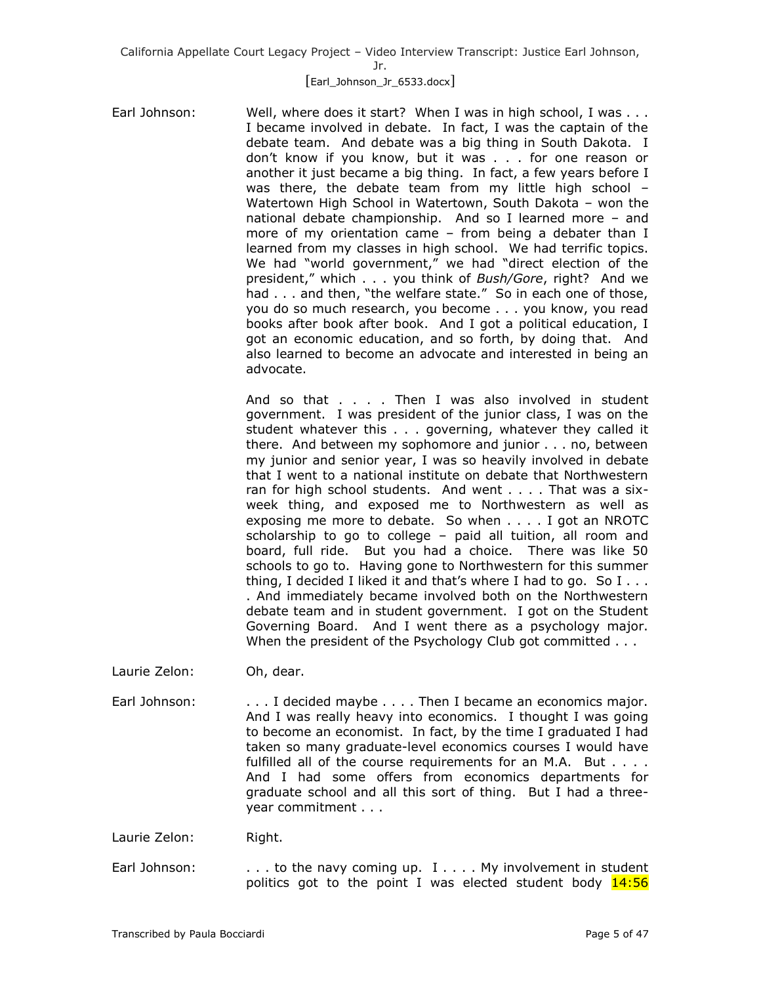# [Earl\_Johnson\_Jr\_6533.docx]

Earl Johnson: Well, where does it start? When I was in high school, I was . . . I became involved in debate. In fact, I was the captain of the debate team. And debate was a big thing in South Dakota. I don't know if you know, but it was . . . for one reason or another it just became a big thing. In fact, a few years before I was there, the debate team from my little high school – Watertown High School in Watertown, South Dakota – won the national debate championship. And so I learned more – and more of my orientation came – from being a debater than I learned from my classes in high school. We had terrific topics. We had "world government," we had "direct election of the president," which . . . you think of *Bush/Gore*, right? And we had . . . and then, "the welfare state." So in each one of those, you do so much research, you become . . . you know, you read books after book after book. And I got a political education, I got an economic education, and so forth, by doing that. And also learned to become an advocate and interested in being an advocate.

> And so that . . . . Then I was also involved in student government. I was president of the junior class, I was on the student whatever this . . . governing, whatever they called it there. And between my sophomore and junior . . . no, between my junior and senior year, I was so heavily involved in debate that I went to a national institute on debate that Northwestern ran for high school students. And went . . . . That was a sixweek thing, and exposed me to Northwestern as well as exposing me more to debate. So when . . . . I got an NROTC scholarship to go to college – paid all tuition, all room and board, full ride. But you had a choice. There was like 50 schools to go to. Having gone to Northwestern for this summer thing, I decided I liked it and that's where I had to go. So  $I \ldots$ . And immediately became involved both on the Northwestern debate team and in student government. I got on the Student Governing Board. And I went there as a psychology major. When the president of the Psychology Club got committed . . .

- Laurie Zelon: Oh, dear.
- Earl Johnson: . . . . I decided maybe . . . . Then I became an economics major. And I was really heavy into economics. I thought I was going to become an economist. In fact, by the time I graduated I had taken so many graduate-level economics courses I would have fulfilled all of the course requirements for an M.A. But . . . . And I had some offers from economics departments for graduate school and all this sort of thing. But I had a threeyear commitment . . .

Laurie Zelon: Right.

Earl Johnson:  $\ldots$  to the navy coming up. I  $\ldots$  My involvement in student politics got to the point I was elected student body  $14:56$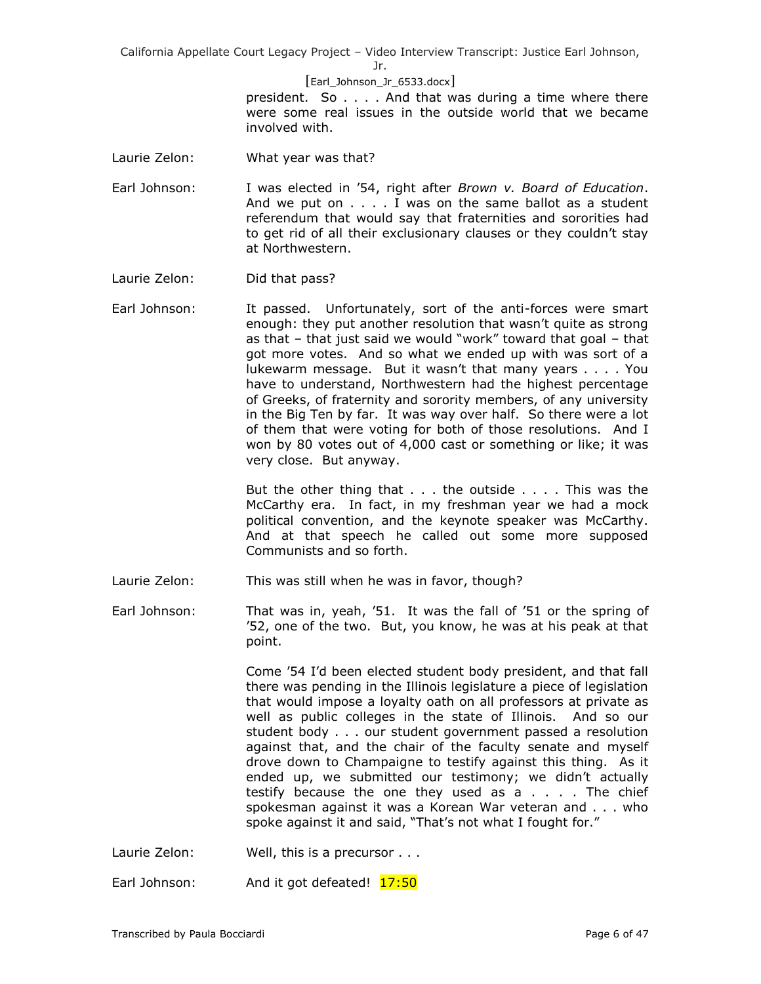Jr.

#### [Earl\_Johnson\_Jr\_6533.docx]

president. So . . . . And that was during a time where there were some real issues in the outside world that we became involved with.

- Laurie Zelon: What year was that?
- Earl Johnson: I was elected in '54, right after *Brown v. Board of Education*. And we put on . . . . I was on the same ballot as a student referendum that would say that fraternities and sororities had to get rid of all their exclusionary clauses or they couldn't stay at Northwestern.
- Laurie Zelon: Did that pass?
- Earl Johnson: It passed. Unfortunately, sort of the anti-forces were smart enough: they put another resolution that wasn't quite as strong as that – that just said we would "work" toward that goal – that got more votes. And so what we ended up with was sort of a lukewarm message. But it wasn't that many years . . . . You have to understand, Northwestern had the highest percentage of Greeks, of fraternity and sorority members, of any university in the Big Ten by far. It was way over half. So there were a lot of them that were voting for both of those resolutions. And I won by 80 votes out of 4,000 cast or something or like; it was very close. But anyway.

But the other thing that . . . the outside . . . . This was the McCarthy era. In fact, in my freshman year we had a mock political convention, and the keynote speaker was McCarthy. And at that speech he called out some more supposed Communists and so forth.

Laurie Zelon: This was still when he was in favor, though?

Earl Johnson: That was in, yeah, '51. It was the fall of '51 or the spring of '52, one of the two. But, you know, he was at his peak at that point.

> Come '54 I'd been elected student body president, and that fall there was pending in the Illinois legislature a piece of legislation that would impose a loyalty oath on all professors at private as well as public colleges in the state of Illinois. And so our student body . . . our student government passed a resolution against that, and the chair of the faculty senate and myself drove down to Champaigne to testify against this thing. As it ended up, we submitted our testimony; we didn't actually testify because the one they used as  $a \ldots$ . The chief spokesman against it was a Korean War veteran and . . . who spoke against it and said, "That's not what I fought for."

Laurie Zelon: Well, this is a precursor . . .

Earl Johnson: And it got defeated! 17:50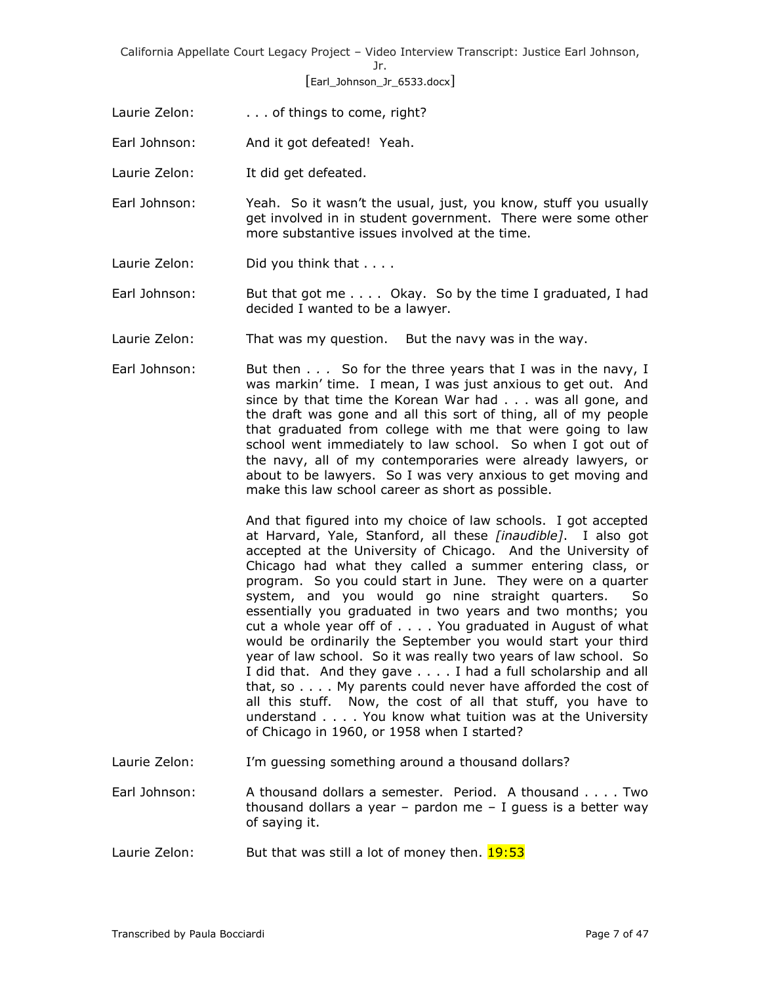# [Earl\_Johnson\_Jr\_6533.docx]

- Laurie Zelon: . . . . . of things to come, right?
- Earl Johnson: And it got defeated! Yeah.
- Laurie Zelon: It did get defeated.
- Earl Johnson: Yeah. So it wasn't the usual, just, you know, stuff you usually get involved in in student government. There were some other more substantive issues involved at the time.
- Laurie Zelon: Did you think that . . . .
- Earl Johnson: But that got me . . . . Okay. So by the time I graduated, I had decided I wanted to be a lawyer.
- Laurie Zelon: That was my question. But the navy was in the way.
- Earl Johnson: But then . . . So for the three years that I was in the navy, I was markin' time. I mean, I was just anxious to get out. And since by that time the Korean War had . . . was all gone, and the draft was gone and all this sort of thing, all of my people that graduated from college with me that were going to law school went immediately to law school. So when I got out of the navy, all of my contemporaries were already lawyers, or about to be lawyers. So I was very anxious to get moving and make this law school career as short as possible.

And that figured into my choice of law schools. I got accepted at Harvard, Yale, Stanford, all these *[inaudible]*. I also got accepted at the University of Chicago. And the University of Chicago had what they called a summer entering class, or program. So you could start in June. They were on a quarter system, and you would go nine straight quarters. So essentially you graduated in two years and two months; you cut a whole year off of . . . . You graduated in August of what would be ordinarily the September you would start your third year of law school. So it was really two years of law school. So I did that. And they gave . . . . I had a full scholarship and all that, so . . . . My parents could never have afforded the cost of all this stuff. Now, the cost of all that stuff, you have to understand . . . . You know what tuition was at the University of Chicago in 1960, or 1958 when I started?

- Laurie Zelon: I'm guessing something around a thousand dollars?
- Earl Johnson: A thousand dollars a semester. Period. A thousand . . . . Two thousand dollars a year  $-$  pardon me  $-$  I guess is a better way of saying it.
- Laurie Zelon: But that was still a lot of money then. 19:53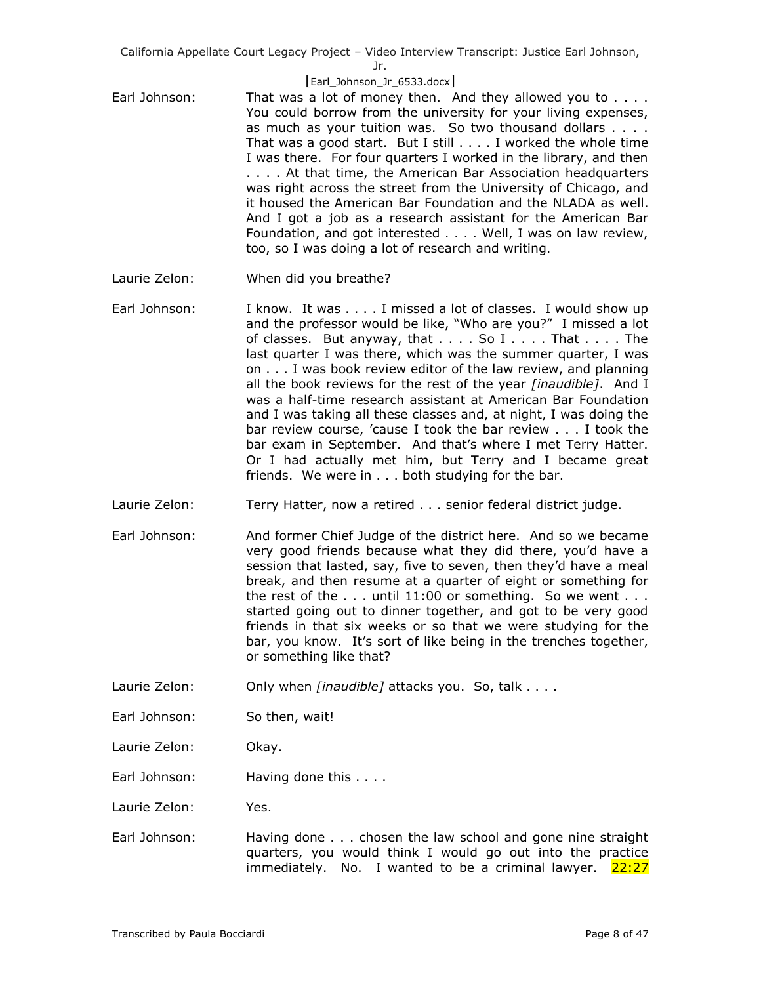#### [Earl\_Johnson\_Jr\_6533.docx]

- Earl Johnson: That was a lot of money then. And they allowed you to . . . . You could borrow from the university for your living expenses, as much as your tuition was. So two thousand dollars . . . . That was a good start. But I still . . . . I worked the whole time I was there. For four quarters I worked in the library, and then . . . . At that time, the American Bar Association headquarters was right across the street from the University of Chicago, and it housed the American Bar Foundation and the NLADA as well. And I got a job as a research assistant for the American Bar Foundation, and got interested . . . . Well, I was on law review, too, so I was doing a lot of research and writing.
- Laurie Zelon: When did you breathe?
- Earl Johnson: I know. It was . . . . I missed a lot of classes. I would show up and the professor would be like, "Who are you?" I missed a lot of classes. But anyway, that  $\dots$  . So  $I \dots$  . That  $\dots$  . The last quarter I was there, which was the summer quarter, I was on . . . I was book review editor of the law review, and planning all the book reviews for the rest of the year *[inaudible]*. And I was a half-time research assistant at American Bar Foundation and I was taking all these classes and, at night, I was doing the bar review course, 'cause I took the bar review . . . I took the bar exam in September. And that's where I met Terry Hatter. Or I had actually met him, but Terry and I became great friends. We were in . . . both studying for the bar.
- Laurie Zelon: Terry Hatter, now a retired . . . senior federal district judge.
- Earl Johnson: And former Chief Judge of the district here. And so we became very good friends because what they did there, you'd have a session that lasted, say, five to seven, then they'd have a meal break, and then resume at a quarter of eight or something for the rest of the  $\ldots$  until 11:00 or something. So we went  $\ldots$ started going out to dinner together, and got to be very good friends in that six weeks or so that we were studying for the bar, you know. It's sort of like being in the trenches together, or something like that?
- Laurie Zelon: **Only when** *[inaudible]* attacks you. So, talk . . . .
- Earl Johnson: So then, wait!
- Laurie Zelon: Okay.
- Earl Johnson: Having done this . . . .

Laurie Zelon: Yes.

Earl Johnson: Having done . . . chosen the law school and gone nine straight quarters, you would think I would go out into the practice immediately. No. I wanted to be a criminal lawyer.  $22:27$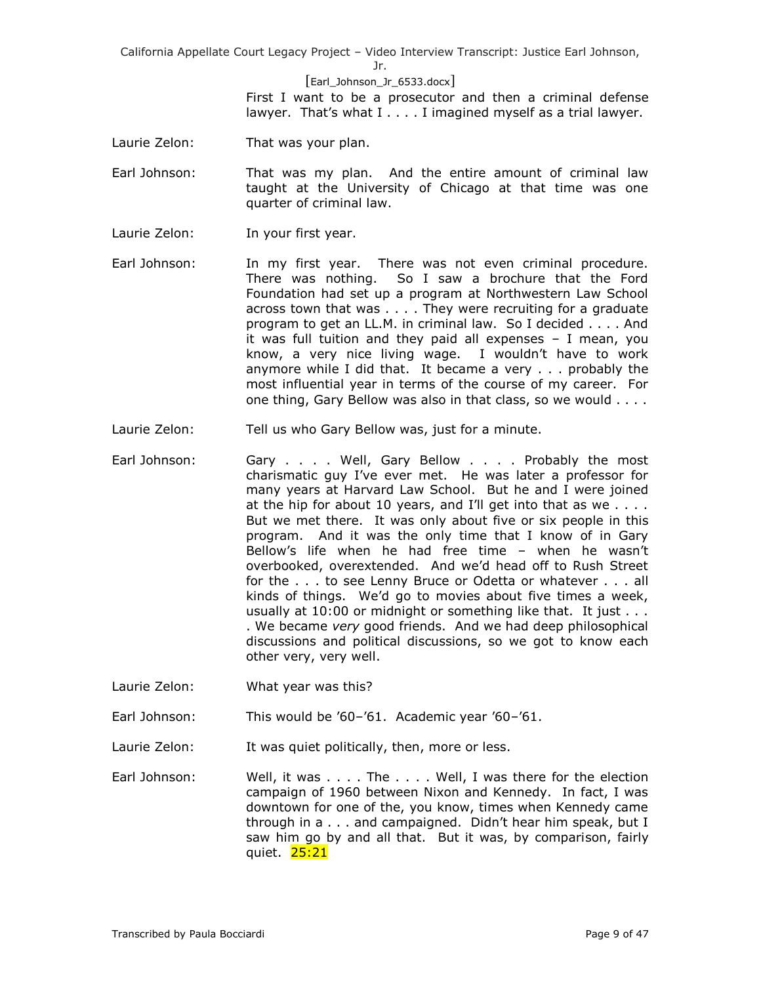Jr.

[Earl\_Johnson\_Jr\_6533.docx] First I want to be a prosecutor and then a criminal defense lawyer. That's what  $I \ldots I$  imagined myself as a trial lawyer.

- Laurie Zelon: That was your plan.
- Earl Johnson: That was my plan. And the entire amount of criminal law taught at the University of Chicago at that time was one quarter of criminal law.
- Laurie Zelon: In your first year.
- Earl Johnson: In my first year. There was not even criminal procedure. There was nothing. So I saw a brochure that the Ford Foundation had set up a program at Northwestern Law School across town that was . . . . They were recruiting for a graduate program to get an LL.M. in criminal law. So I decided . . . . And it was full tuition and they paid all expenses – I mean, you know, a very nice living wage. I wouldn't have to work anymore while I did that. It became a very . . . probably the most influential year in terms of the course of my career. For one thing, Gary Bellow was also in that class, so we would . . . .
- Laurie Zelon: Tell us who Gary Bellow was, just for a minute.
- Earl Johnson: Gary . . . . Well, Gary Bellow . . . . Probably the most charismatic guy I've ever met. He was later a professor for many years at Harvard Law School. But he and I were joined at the hip for about 10 years, and I'll get into that as we  $\dots$ . But we met there. It was only about five or six people in this program. And it was the only time that I know of in Gary Bellow's life when he had free time – when he wasn't overbooked, overextended. And we'd head off to Rush Street for the . . . to see Lenny Bruce or Odetta or whatever . . . all kinds of things. We'd go to movies about five times a week, usually at 10:00 or midnight or something like that. It just . . . . We became *very* good friends. And we had deep philosophical discussions and political discussions, so we got to know each other very, very well.
- Laurie Zelon: What year was this?

Earl Johnson: This would be '60–'61. Academic year '60–'61.

- Laurie Zelon: It was quiet politically, then, more or less.
- Earl Johnson: Well, it was . . . . The . . . . Well, I was there for the election campaign of 1960 between Nixon and Kennedy. In fact, I was downtown for one of the, you know, times when Kennedy came through in a . . . and campaigned. Didn't hear him speak, but I saw him go by and all that. But it was, by comparison, fairly quiet. 25:21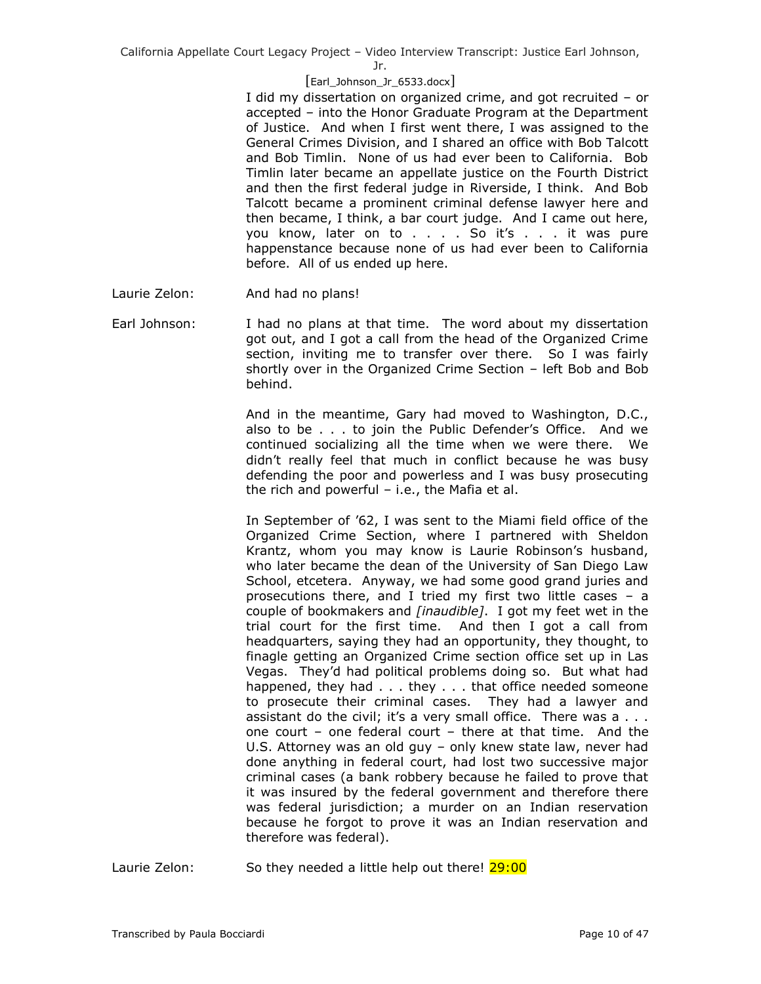Jr.

## [Earl\_Johnson\_Jr\_6533.docx]

I did my dissertation on organized crime, and got recruited – or accepted – into the Honor Graduate Program at the Department of Justice. And when I first went there, I was assigned to the General Crimes Division, and I shared an office with Bob Talcott and Bob Timlin. None of us had ever been to California. Bob Timlin later became an appellate justice on the Fourth District and then the first federal judge in Riverside, I think. And Bob Talcott became a prominent criminal defense lawyer here and then became, I think, a bar court judge. And I came out here, you know, later on to . . . . So it's . . . it was pure happenstance because none of us had ever been to California before. All of us ended up here.

- Laurie Zelon: And had no plans!
- Earl Johnson: I had no plans at that time. The word about my dissertation got out, and I got a call from the head of the Organized Crime section, inviting me to transfer over there. So I was fairly shortly over in the Organized Crime Section – left Bob and Bob behind.

And in the meantime, Gary had moved to Washington, D.C., also to be . . . to join the Public Defender's Office. And we continued socializing all the time when we were there. We didn't really feel that much in conflict because he was busy defending the poor and powerless and I was busy prosecuting the rich and powerful – i.e., the Mafia et al.

In September of '62, I was sent to the Miami field office of the Organized Crime Section, where I partnered with Sheldon Krantz, whom you may know is Laurie Robinson's husband, who later became the dean of the University of San Diego Law School, etcetera. Anyway, we had some good grand juries and prosecutions there, and I tried my first two little cases – a couple of bookmakers and *[inaudible]*. I got my feet wet in the trial court for the first time. And then I got a call from headquarters, saying they had an opportunity, they thought, to finagle getting an Organized Crime section office set up in Las Vegas. They'd had political problems doing so. But what had happened, they had . . . they . . . that office needed someone to prosecute their criminal cases. They had a lawyer and assistant do the civil; it's a very small office. There was  $a \ldots$ one court – one federal court – there at that time. And the U.S. Attorney was an old guy – only knew state law, never had done anything in federal court, had lost two successive major criminal cases (a bank robbery because he failed to prove that it was insured by the federal government and therefore there was federal jurisdiction; a murder on an Indian reservation because he forgot to prove it was an Indian reservation and therefore was federal).

Laurie Zelon: So they needed a little help out there! 29:00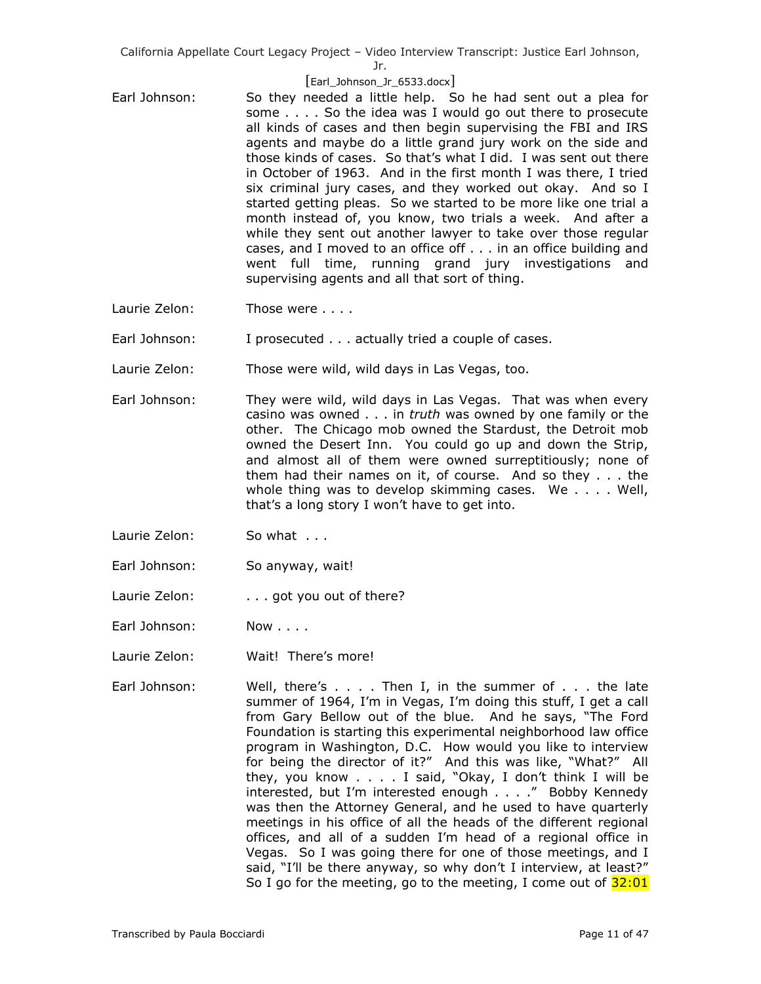Jr.

#### [Earl\_Johnson\_Jr\_6533.docx]

- Earl Johnson: So they needed a little help. So he had sent out a plea for some . . . . So the idea was I would go out there to prosecute all kinds of cases and then begin supervising the FBI and IRS agents and maybe do a little grand jury work on the side and those kinds of cases. So that's what I did. I was sent out there in October of 1963. And in the first month I was there, I tried six criminal jury cases, and they worked out okay. And so I started getting pleas. So we started to be more like one trial a month instead of, you know, two trials a week. And after a while they sent out another lawyer to take over those regular cases, and I moved to an office off . . . in an office building and went full time, running grand jury investigations and supervising agents and all that sort of thing.
- Laurie Zelon: Those were . . . .

Earl Johnson: I prosecuted . . . actually tried a couple of cases.

- Laurie Zelon: Those were wild, wild days in Las Vegas, too.
- Earl Johnson: They were wild, wild days in Las Vegas. That was when every casino was owned . . . in *truth* was owned by one family or the other. The Chicago mob owned the Stardust, the Detroit mob owned the Desert Inn. You could go up and down the Strip, and almost all of them were owned surreptitiously; none of them had their names on it, of course. And so they . . . the whole thing was to develop skimming cases. We . . . . Well, that's a long story I won't have to get into.
- Laurie Zelon: So what . . .
- Earl Johnson: So anyway, wait!
- Laurie Zelon: . . . got you out of there?
- Earl Johnson: Now . . . .
- Laurie Zelon: Wait! There's more!
- Earl Johnson: Well, there's . . . . Then I, in the summer of . . . the late summer of 1964, I'm in Vegas, I'm doing this stuff, I get a call from Gary Bellow out of the blue. And he says, "The Ford Foundation is starting this experimental neighborhood law office program in Washington, D.C. How would you like to interview for being the director of it?" And this was like, "What?" All they, you know . . . . I said, "Okay, I don't think I will be interested, but I'm interested enough . . . ." Bobby Kennedy was then the Attorney General, and he used to have quarterly meetings in his office of all the heads of the different regional offices, and all of a sudden I'm head of a regional office in Vegas. So I was going there for one of those meetings, and I said, "I'll be there anyway, so why don't I interview, at least?" So I go for the meeting, go to the meeting, I come out of  $32:01$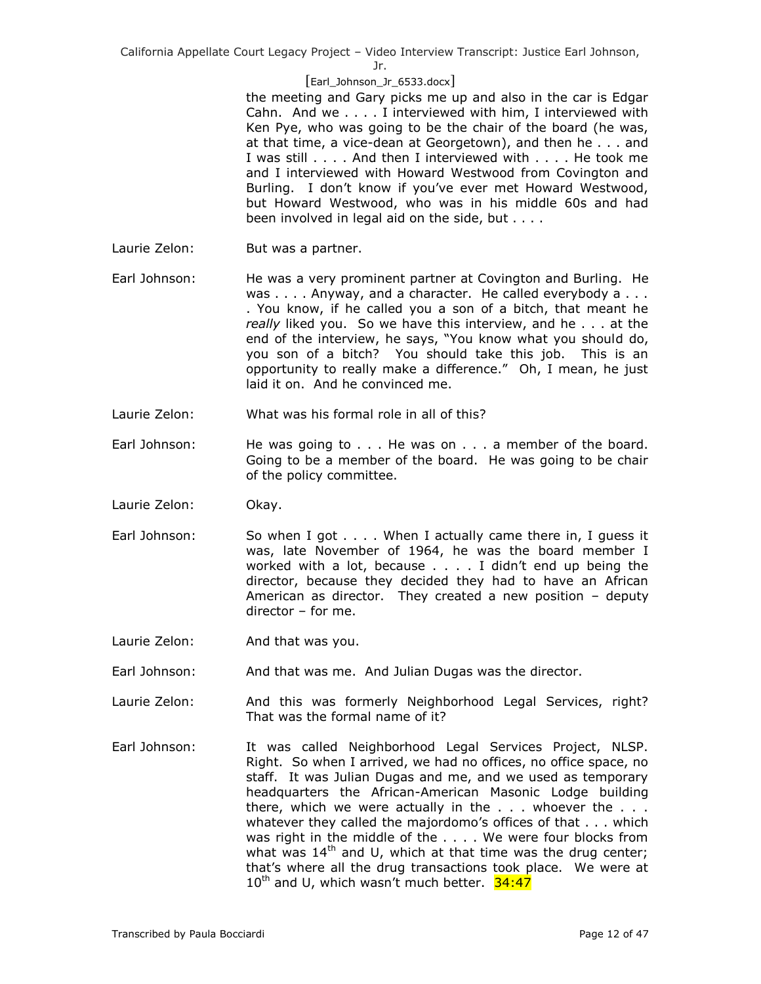Jr.

## [Earl\_Johnson\_Jr\_6533.docx]

the meeting and Gary picks me up and also in the car is Edgar Cahn. And we . . . . I interviewed with him, I interviewed with Ken Pye, who was going to be the chair of the board (he was, at that time, a vice-dean at Georgetown), and then he . . . and I was still . . . . And then I interviewed with . . . . He took me and I interviewed with Howard Westwood from Covington and Burling. I don't know if you've ever met Howard Westwood, but Howard Westwood, who was in his middle 60s and had been involved in legal aid on the side, but . . . .

- Laurie Zelon: But was a partner.
- Earl Johnson: He was a very prominent partner at Covington and Burling. He was . . . . Anyway, and a character. He called everybody a . . . . You know, if he called you a son of a bitch, that meant he *really* liked you. So we have this interview, and he . . . at the end of the interview, he says, "You know what you should do, you son of a bitch? You should take this job. This is an opportunity to really make a difference." Oh, I mean, he just laid it on. And he convinced me.
- Laurie Zelon: What was his formal role in all of this?
- Earl Johnson: He was going to . . . He was on . . . a member of the board. Going to be a member of the board. He was going to be chair of the policy committee.
- Laurie Zelon: Okay.
- Earl Johnson: So when I got . . . . When I actually came there in, I guess it was, late November of 1964, he was the board member I worked with a lot, because . . . . I didn't end up being the director, because they decided they had to have an African American as director. They created a new position – deputy director – for me.
- Laurie Zelon: And that was you.
- Earl Johnson: And that was me. And Julian Dugas was the director.
- Laurie Zelon: And this was formerly Neighborhood Legal Services, right? That was the formal name of it?
- Earl Johnson: It was called Neighborhood Legal Services Project, NLSP. Right. So when I arrived, we had no offices, no office space, no staff. It was Julian Dugas and me, and we used as temporary headquarters the African-American Masonic Lodge building there, which we were actually in the  $\ldots$  whoever the  $\ldots$ whatever they called the majordomo's offices of that . . . which was right in the middle of the . . . . We were four blocks from what was  $14<sup>th</sup>$  and U, which at that time was the drug center; that's where all the drug transactions took place. We were at 10<sup>th</sup> and U, which wasn't much better. 34:47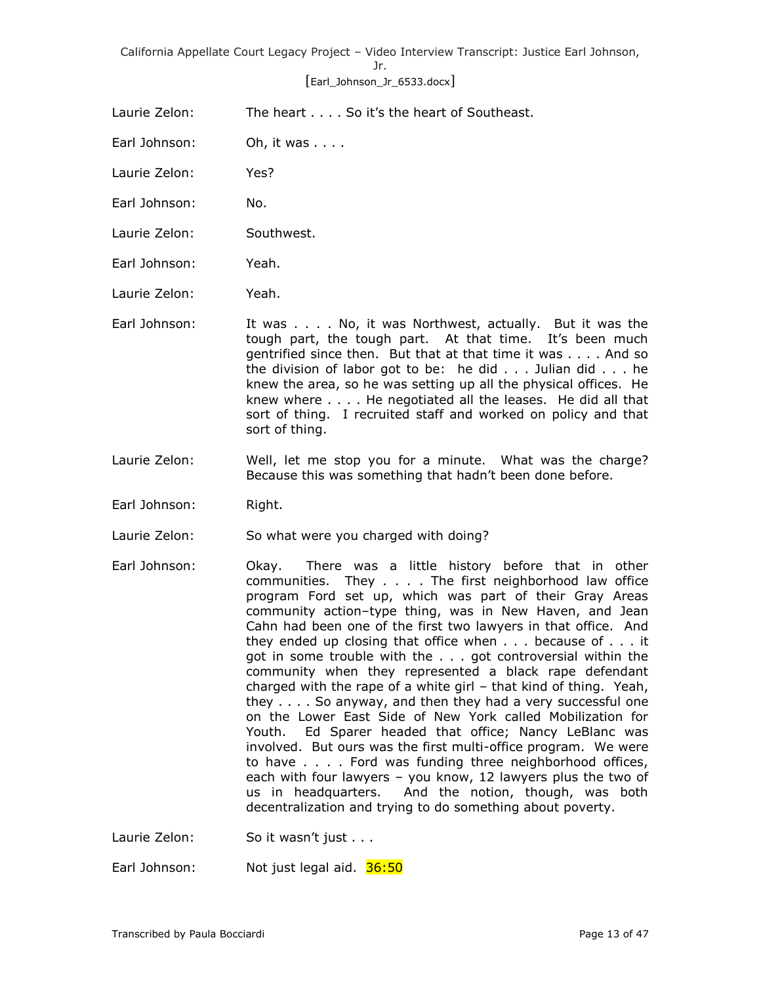# [Earl\_Johnson\_Jr\_6533.docx]

Laurie Zelon: The heart . . . . So it's the heart of Southeast.

Earl Johnson: Oh, it was . . . .

Laurie Zelon: Yes?

Earl Johnson: No.

Laurie Zelon: Southwest.

Earl Johnson: Yeah.

Laurie Zelon: Yeah.

Earl Johnson: It was . . . . No, it was Northwest, actually. But it was the tough part, the tough part. At that time. It's been much gentrified since then. But that at that time it was . . . . And so the division of labor got to be: he did . . . Julian did . . . he knew the area, so he was setting up all the physical offices. He knew where . . . . He negotiated all the leases. He did all that sort of thing. I recruited staff and worked on policy and that sort of thing.

- Laurie Zelon: Well, let me stop you for a minute. What was the charge? Because this was something that hadn't been done before.
- Earl Johnson: Right.

Laurie Zelon: So what were you charged with doing?

- Earl Johnson: Okay. There was a little history before that in other communities. They . . . . The first neighborhood law office program Ford set up, which was part of their Gray Areas community action–type thing, was in New Haven, and Jean Cahn had been one of the first two lawyers in that office. And they ended up closing that office when . . . because of . . . it got in some trouble with the . . . got controversial within the community when they represented a black rape defendant charged with the rape of a white girl – that kind of thing. Yeah, they . . . . So anyway, and then they had a very successful one on the Lower East Side of New York called Mobilization for Youth. Ed Sparer headed that office; Nancy LeBlanc was involved. But ours was the first multi-office program. We were to have . . . . Ford was funding three neighborhood offices, each with four lawyers – you know, 12 lawyers plus the two of us in headquarters. And the notion, though, was both decentralization and trying to do something about poverty.
- Laurie Zelon: So it wasn't just . . .

Earl Johnson: Not just legal aid. 36:50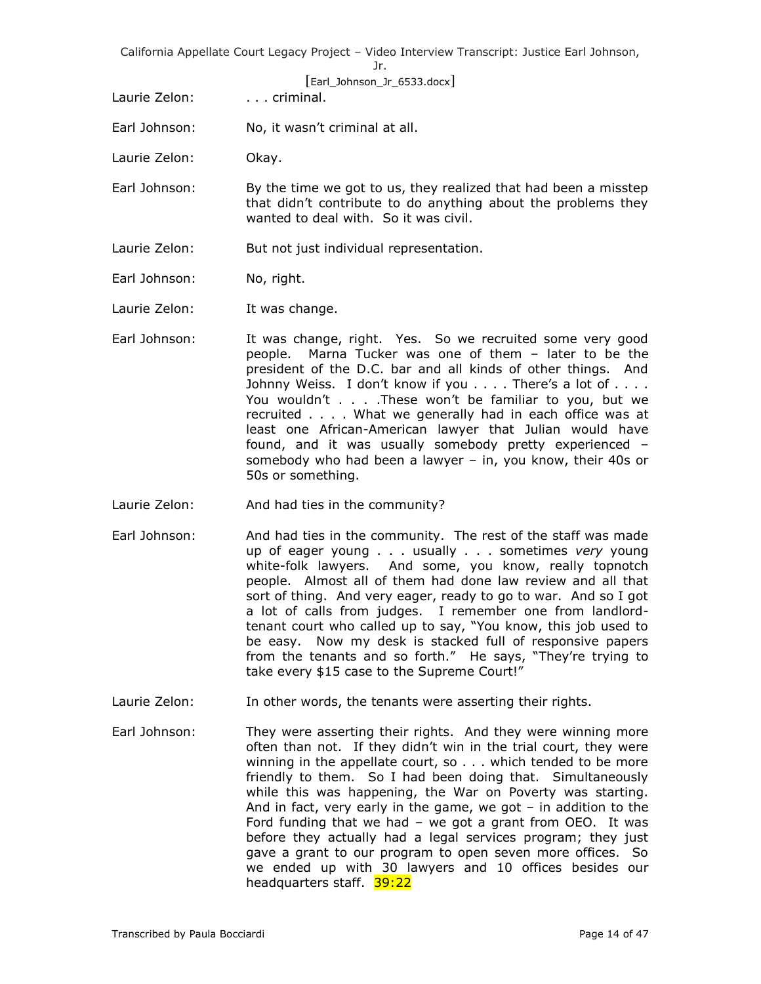[Earl\_Johnson\_Jr\_6533.docx]

Laurie Zelon: . . . . . . criminal.

- Earl Johnson: No, it wasn't criminal at all.
- Laurie Zelon: Okay.
- Earl Johnson: By the time we got to us, they realized that had been a misstep that didn't contribute to do anything about the problems they wanted to deal with. So it was civil.
- Laurie Zelon: But not just individual representation.
- Earl Johnson: No, right.

Laurie Zelon: It was change.

- Earl Johnson: It was change, right. Yes. So we recruited some very good people. Marna Tucker was one of them – later to be the president of the D.C. bar and all kinds of other things. And Johnny Weiss. I don't know if you . . . . There's a lot of . . . . You wouldn't . . . .These won't be familiar to you, but we recruited . . . . What we generally had in each office was at least one African-American lawyer that Julian would have found, and it was usually somebody pretty experienced – somebody who had been a lawyer – in, you know, their 40s or 50s or something.
- Laurie Zelon: And had ties in the community?
- Earl Johnson: And had ties in the community. The rest of the staff was made up of eager young . . . usually . . . sometimes *very* young white-folk lawyers. And some, you know, really topnotch people. Almost all of them had done law review and all that sort of thing. And very eager, ready to go to war. And so I got a lot of calls from judges. I remember one from landlordtenant court who called up to say, "You know, this job used to be easy. Now my desk is stacked full of responsive papers from the tenants and so forth." He says, "They're trying to take every \$15 case to the Supreme Court!"
- Laurie Zelon: In other words, the tenants were asserting their rights.
- Earl Johnson: They were asserting their rights. And they were winning more often than not. If they didn't win in the trial court, they were winning in the appellate court, so . . . which tended to be more friendly to them. So I had been doing that. Simultaneously while this was happening, the War on Poverty was starting. And in fact, very early in the game, we got – in addition to the Ford funding that we had – we got a grant from OEO. It was before they actually had a legal services program; they just gave a grant to our program to open seven more offices. So we ended up with 30 lawyers and 10 offices besides our headquarters staff. 39:22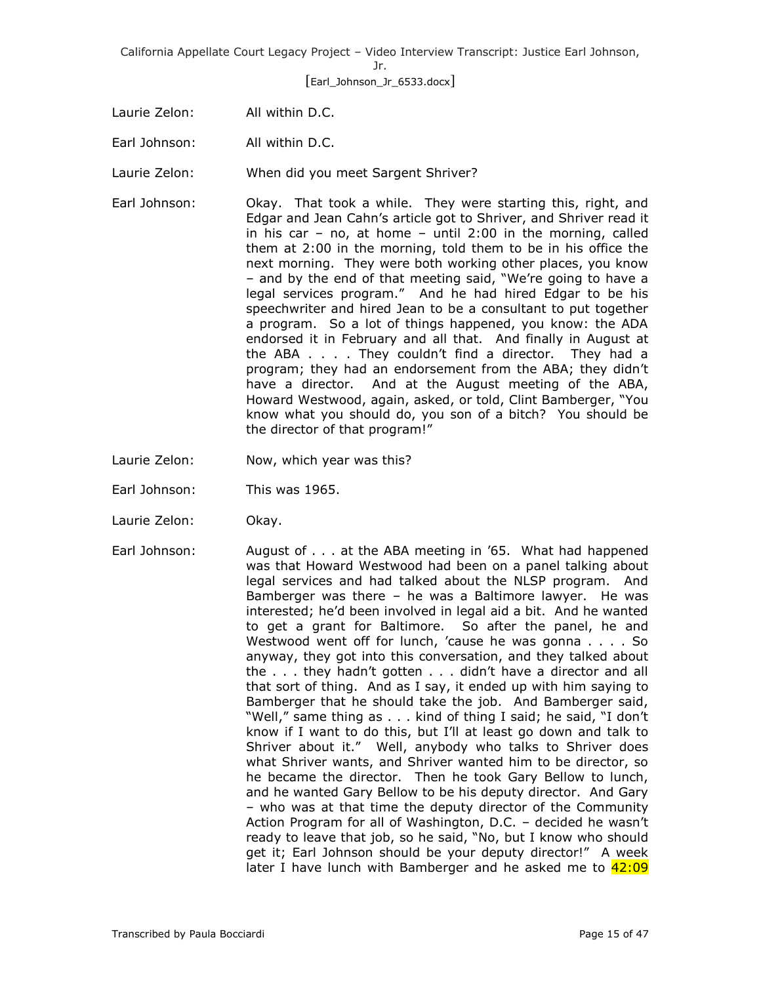[Earl\_Johnson\_Jr\_6533.docx]

- Laurie Zelon: All within D.C.
- Earl Johnson: All within D.C.

Laurie Zelon: When did you meet Sargent Shriver?

- Earl Johnson: Okay. That took a while. They were starting this, right, and Edgar and Jean Cahn's article got to Shriver, and Shriver read it in his car – no, at home – until  $2:00$  in the morning, called them at 2:00 in the morning, told them to be in his office the next morning. They were both working other places, you know – and by the end of that meeting said, "We're going to have a legal services program." And he had hired Edgar to be his speechwriter and hired Jean to be a consultant to put together a program. So a lot of things happened, you know: the ADA endorsed it in February and all that. And finally in August at the ABA . . . . They couldn't find a director. They had a program; they had an endorsement from the ABA; they didn't have a director. And at the August meeting of the ABA, Howard Westwood, again, asked, or told, Clint Bamberger, "You know what you should do, you son of a bitch? You should be the director of that program!"
- Laurie Zelon: Now, which year was this?
- Earl Johnson: This was 1965.
- Laurie Zelon: Okay.
- Earl Johnson: August of . . . at the ABA meeting in '65. What had happened was that Howard Westwood had been on a panel talking about legal services and had talked about the NLSP program. And Bamberger was there – he was a Baltimore lawyer. He was interested; he'd been involved in legal aid a bit. And he wanted to get a grant for Baltimore. So after the panel, he and Westwood went off for lunch, 'cause he was gonna . . . . So anyway, they got into this conversation, and they talked about the . . . they hadn't gotten . . . didn't have a director and all that sort of thing. And as I say, it ended up with him saying to Bamberger that he should take the job. And Bamberger said, "Well," same thing as . . . kind of thing I said; he said, "I don't know if I want to do this, but I'll at least go down and talk to Shriver about it." Well, anybody who talks to Shriver does what Shriver wants, and Shriver wanted him to be director, so he became the director. Then he took Gary Bellow to lunch, and he wanted Gary Bellow to be his deputy director. And Gary – who was at that time the deputy director of the Community Action Program for all of Washington, D.C. – decided he wasn't ready to leave that job, so he said, "No, but I know who should get it; Earl Johnson should be your deputy director!" A week later I have lunch with Bamberger and he asked me to 42:09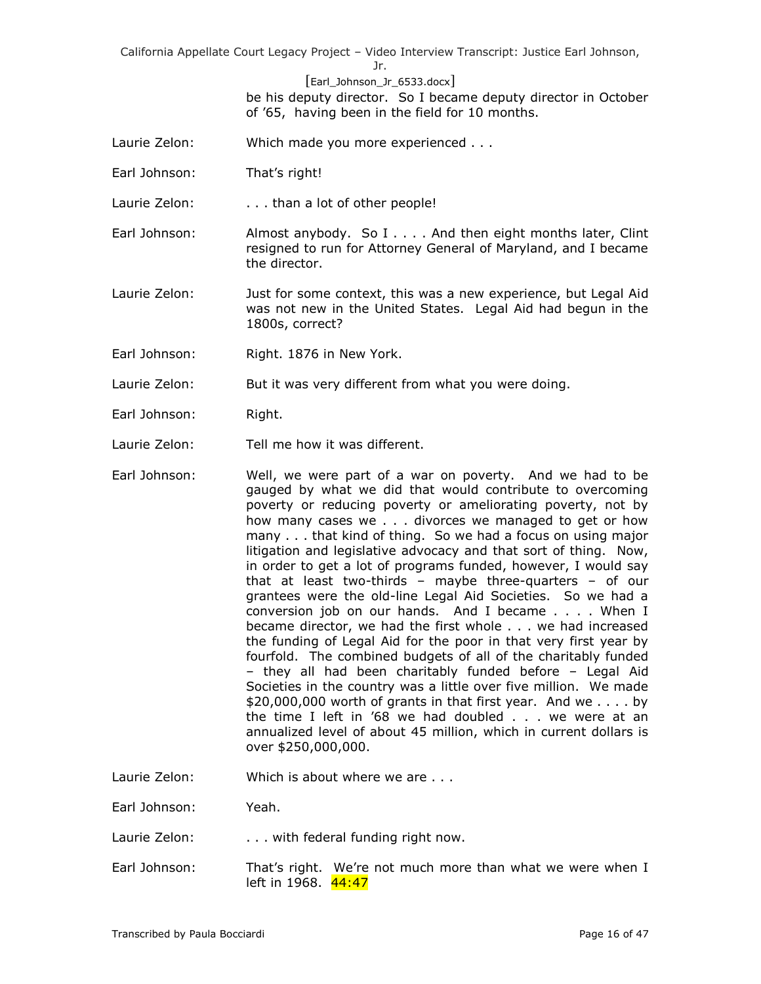Jr.

[Earl\_Johnson\_Jr\_6533.docx]

be his deputy director. So I became deputy director in October of '65, having been in the field for 10 months.

- Laurie Zelon: Which made you more experienced . . .
- Earl Johnson: That's right!

Laurie Zelon: . . . . than a lot of other people!

Earl Johnson: Almost anybody. So I . . . . And then eight months later, Clint resigned to run for Attorney General of Maryland, and I became the director.

Laurie Zelon: Just for some context, this was a new experience, but Legal Aid was not new in the United States. Legal Aid had begun in the 1800s, correct?

Earl Johnson: Right. 1876 in New York.

Laurie Zelon: But it was very different from what you were doing.

- Earl Johnson: Right.
- Laurie Zelon: Tell me how it was different.
- Earl Johnson: Well, we were part of a war on poverty. And we had to be gauged by what we did that would contribute to overcoming poverty or reducing poverty or ameliorating poverty, not by how many cases we . . . divorces we managed to get or how many . . . that kind of thing. So we had a focus on using major litigation and legislative advocacy and that sort of thing. Now, in order to get a lot of programs funded, however, I would say that at least two-thirds – maybe three-quarters – of our grantees were the old-line Legal Aid Societies. So we had a conversion job on our hands. And I became . . . . When I became director, we had the first whole . . . we had increased the funding of Legal Aid for the poor in that very first year by fourfold. The combined budgets of all of the charitably funded – they all had been charitably funded before – Legal Aid Societies in the country was a little over five million. We made \$20,000,000 worth of grants in that first year. And we . . . . by the time I left in '68 we had doubled . . . we were at an annualized level of about 45 million, which in current dollars is over \$250,000,000.
- Laurie Zelon: Which is about where we are ...

Earl Johnson: Yeah.

- Laurie Zelon: . . . . with federal funding right now.
- Earl Johnson: That's right. We're not much more than what we were when I left in 1968. 44:47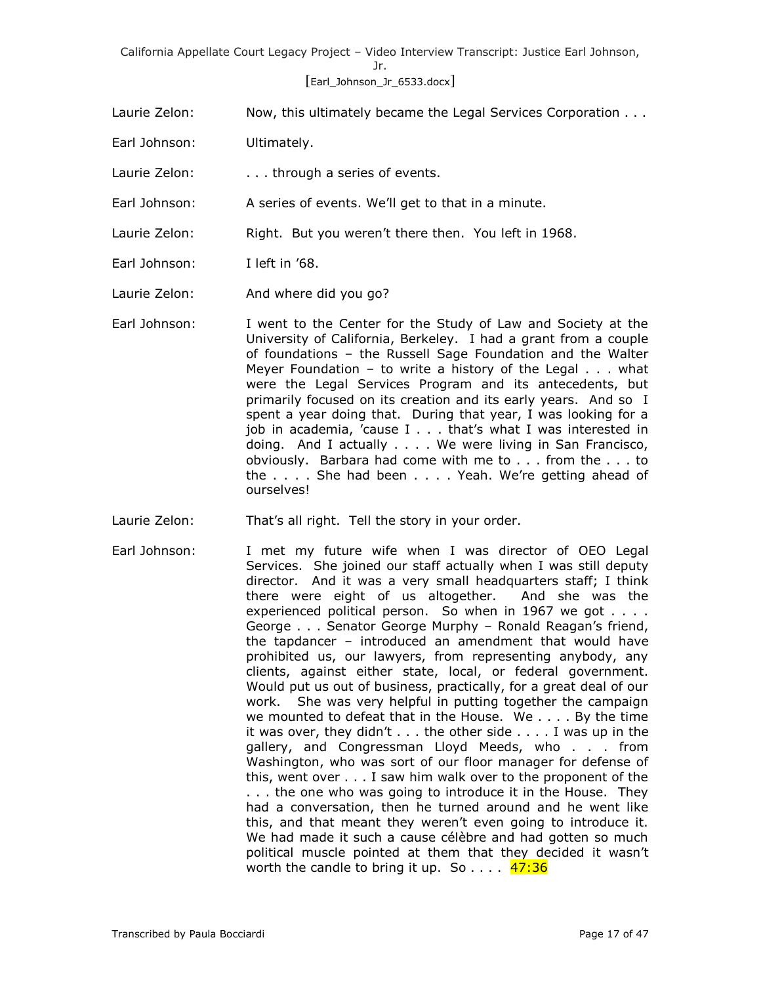# [Earl\_Johnson\_Jr\_6533.docx]

- Laurie Zelon: Now, this ultimately became the Legal Services Corporation . . .
- Earl Johnson: Ultimately.
- Laurie Zelon: . . . . . through a series of events.
- Earl Johnson: A series of events. We'll get to that in a minute.
- Laurie Zelon: Right. But you weren't there then. You left in 1968.
- Earl Johnson: I left in '68.
- Laurie Zelon: And where did you go?
- Earl Johnson: I went to the Center for the Study of Law and Society at the University of California, Berkeley. I had a grant from a couple of foundations – the Russell Sage Foundation and the Walter Meyer Foundation – to write a history of the Legal  $\ldots$  what were the Legal Services Program and its antecedents, but primarily focused on its creation and its early years. And so I spent a year doing that. During that year, I was looking for a job in academia, 'cause I . . . that's what I was interested in doing. And I actually . . . . We were living in San Francisco, obviously. Barbara had come with me to . . . from the . . . to the . . . . She had been . . . . Yeah. We're getting ahead of ourselves!
- Laurie Zelon: That's all right. Tell the story in your order.
- Earl Johnson: I met my future wife when I was director of OEO Legal Services. She joined our staff actually when I was still deputy director. And it was a very small headquarters staff; I think there were eight of us altogether. And she was the experienced political person. So when in 1967 we got . . . . George . . . Senator George Murphy – Ronald Reagan's friend, the tapdancer – introduced an amendment that would have prohibited us, our lawyers, from representing anybody, any clients, against either state, local, or federal government. Would put us out of business, practically, for a great deal of our work. She was very helpful in putting together the campaign we mounted to defeat that in the House. We . . . . By the time it was over, they didn't . . . the other side . . . . I was up in the gallery, and Congressman Lloyd Meeds, who . . . from Washington, who was sort of our floor manager for defense of this, went over . . . I saw him walk over to the proponent of the . . . the one who was going to introduce it in the House. They had a conversation, then he turned around and he went like this, and that meant they weren't even going to introduce it. We had made it such a cause célèbre and had gotten so much political muscle pointed at them that they decided it wasn't worth the candle to bring it up. So  $\dots$  47:36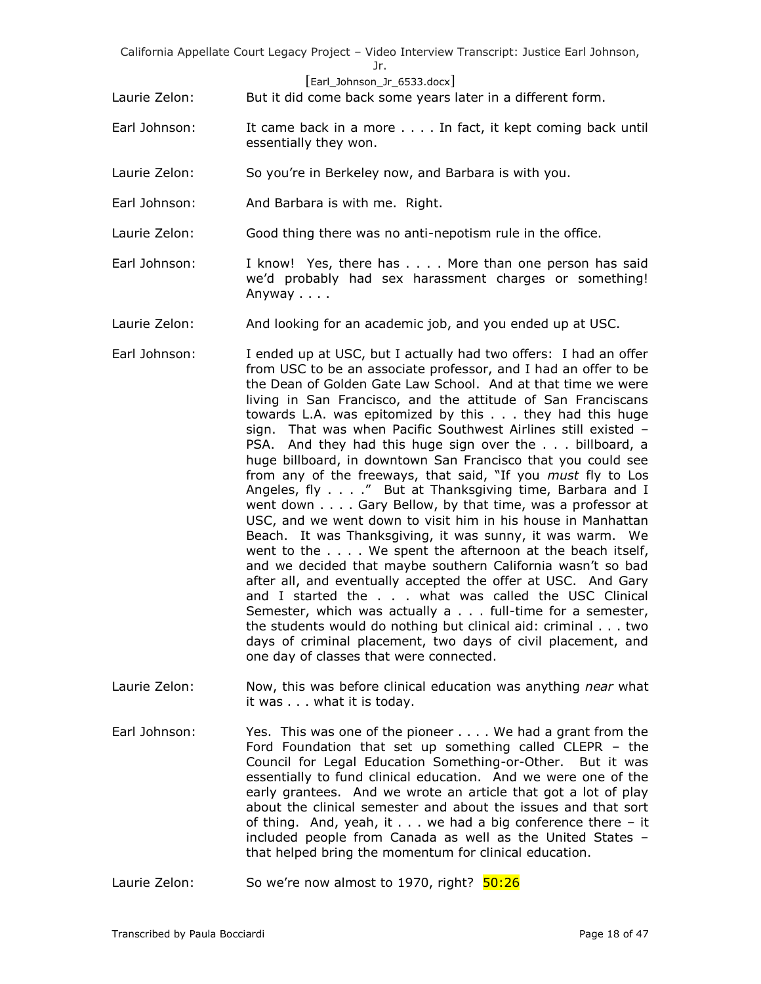#### [Earl\_Johnson\_Jr\_6533.docx]

Laurie Zelon: But it did come back some years later in a different form.

- Earl Johnson: It came back in a more . . . . In fact, it kept coming back until essentially they won.
- Laurie Zelon: So you're in Berkeley now, and Barbara is with you.
- Earl Johnson: And Barbara is with me. Right.
- Laurie Zelon: Good thing there was no anti-nepotism rule in the office.
- Earl Johnson: I know! Yes, there has . . . . More than one person has said we'd probably had sex harassment charges or something! Anyway . . . .
- Laurie Zelon: And looking for an academic job, and you ended up at USC.
- Earl Johnson: I ended up at USC, but I actually had two offers: I had an offer from USC to be an associate professor, and I had an offer to be the Dean of Golden Gate Law School. And at that time we were living in San Francisco, and the attitude of San Franciscans towards L.A. was epitomized by this . . . they had this huge sign. That was when Pacific Southwest Airlines still existed – PSA. And they had this huge sign over the . . . billboard, a huge billboard, in downtown San Francisco that you could see from any of the freeways, that said, "If you *must* fly to Los Angeles, fly . . . ." But at Thanksgiving time, Barbara and I went down . . . . Gary Bellow, by that time, was a professor at USC, and we went down to visit him in his house in Manhattan Beach. It was Thanksgiving, it was sunny, it was warm. We went to the . . . . We spent the afternoon at the beach itself, and we decided that maybe southern California wasn't so bad after all, and eventually accepted the offer at USC. And Gary and I started the . . . what was called the USC Clinical Semester, which was actually a . . . full-time for a semester, the students would do nothing but clinical aid: criminal . . . two days of criminal placement, two days of civil placement, and one day of classes that were connected.
- Laurie Zelon: Now, this was before clinical education was anything *near* what it was . . . what it is today.
- Earl Johnson: Yes. This was one of the pioneer . . . . We had a grant from the Ford Foundation that set up something called CLEPR – the Council for Legal Education Something-or-Other. But it was essentially to fund clinical education. And we were one of the early grantees. And we wrote an article that got a lot of play about the clinical semester and about the issues and that sort of thing. And, yeah, it . . . we had a big conference there – it included people from Canada as well as the United States – that helped bring the momentum for clinical education.
- Laurie Zelon: So we're now almost to 1970, right?  $\frac{50:26}{2}$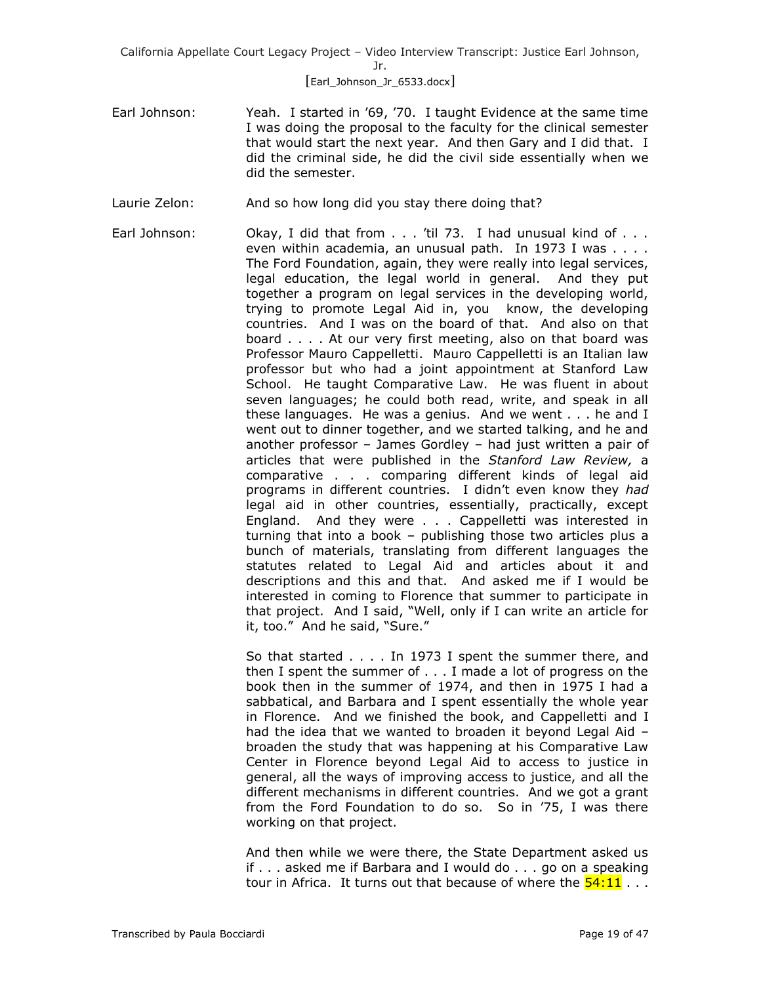## [Earl\_Johnson\_Jr\_6533.docx]

- Earl Johnson: Yeah. I started in '69, '70. I taught Evidence at the same time I was doing the proposal to the faculty for the clinical semester that would start the next year. And then Gary and I did that. I did the criminal side, he did the civil side essentially when we did the semester.
- Laurie Zelon: And so how long did you stay there doing that?
- Earl Johnson: Okay, I did that from . . . 'til 73. I had unusual kind of . . . even within academia, an unusual path. In 1973 I was . . . . The Ford Foundation, again, they were really into legal services, legal education, the legal world in general. And they put together a program on legal services in the developing world, trying to promote Legal Aid in, you know, the developing countries. And I was on the board of that. And also on that board . . . . At our very first meeting, also on that board was Professor Mauro Cappelletti. Mauro Cappelletti is an Italian law professor but who had a joint appointment at Stanford Law School. He taught Comparative Law. He was fluent in about seven languages; he could both read, write, and speak in all these languages. He was a genius. And we went . . . he and I went out to dinner together, and we started talking, and he and another professor – James Gordley – had just written a pair of articles that were published in the *Stanford Law Review,* a comparative . . . comparing different kinds of legal aid programs in different countries. I didn't even know they *had* legal aid in other countries, essentially, practically, except England. And they were . . . Cappelletti was interested in turning that into a book – publishing those two articles plus a bunch of materials, translating from different languages the statutes related to Legal Aid and articles about it and descriptions and this and that. And asked me if I would be interested in coming to Florence that summer to participate in that project. And I said, "Well, only if I can write an article for it, too." And he said, "Sure."

So that started . . . . In 1973 I spent the summer there, and then I spent the summer of . . . I made a lot of progress on the book then in the summer of 1974, and then in 1975 I had a sabbatical, and Barbara and I spent essentially the whole year in Florence. And we finished the book, and Cappelletti and I had the idea that we wanted to broaden it beyond Legal Aid – broaden the study that was happening at his Comparative Law Center in Florence beyond Legal Aid to access to justice in general, all the ways of improving access to justice, and all the different mechanisms in different countries. And we got a grant from the Ford Foundation to do so. So in '75, I was there working on that project.

And then while we were there, the State Department asked us if . . . asked me if Barbara and I would do . . . go on a speaking tour in Africa. It turns out that because of where the  $54:11...$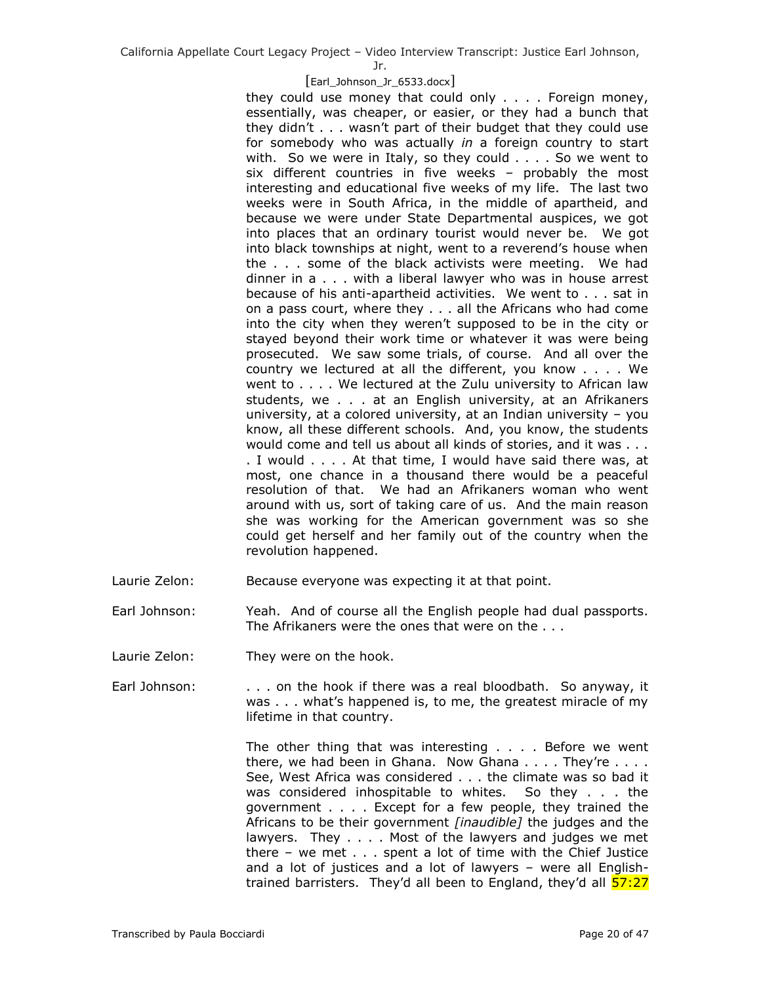Jr.

## [Earl\_Johnson\_Jr\_6533.docx]

they could use money that could only . . . . Foreign money, essentially, was cheaper, or easier, or they had a bunch that they didn't . . . wasn't part of their budget that they could use for somebody who was actually *in* a foreign country to start with. So we were in Italy, so they could . . . . So we went to six different countries in five weeks – probably the most interesting and educational five weeks of my life. The last two weeks were in South Africa, in the middle of apartheid, and because we were under State Departmental auspices, we got into places that an ordinary tourist would never be. We got into black townships at night, went to a reverend's house when the . . . some of the black activists were meeting. We had dinner in a . . . with a liberal lawyer who was in house arrest because of his anti-apartheid activities. We went to . . . sat in on a pass court, where they . . . all the Africans who had come into the city when they weren't supposed to be in the city or stayed beyond their work time or whatever it was were being prosecuted. We saw some trials, of course. And all over the country we lectured at all the different, you know . . . . We went to . . . . We lectured at the Zulu university to African law students, we . . . at an English university, at an Afrikaners university, at a colored university, at an Indian university – you know, all these different schools. And, you know, the students would come and tell us about all kinds of stories, and it was . . . . I would . . . . At that time, I would have said there was, at most, one chance in a thousand there would be a peaceful resolution of that. We had an Afrikaners woman who went around with us, sort of taking care of us. And the main reason she was working for the American government was so she could get herself and her family out of the country when the revolution happened.

- Laurie Zelon: Because everyone was expecting it at that point.
- Earl Johnson: Yeah. And of course all the English people had dual passports. The Afrikaners were the ones that were on the . . .
- Laurie Zelon: They were on the hook.
- Earl Johnson: . . . on the hook if there was a real bloodbath. So anyway, it was . . . what's happened is, to me, the greatest miracle of my lifetime in that country.

The other thing that was interesting . . . . Before we went there, we had been in Ghana. Now Ghana  $\ldots$ . They're  $\ldots$ . See, West Africa was considered . . . the climate was so bad it was considered inhospitable to whites. So they . . . the government . . . . Except for a few people, they trained the Africans to be their government *[inaudible]* the judges and the lawyers. They . . . . Most of the lawyers and judges we met there – we met . . . spent a lot of time with the Chief Justice and a lot of justices and a lot of lawyers – were all Englishtrained barristers. They'd all been to England, they'd all **57:27**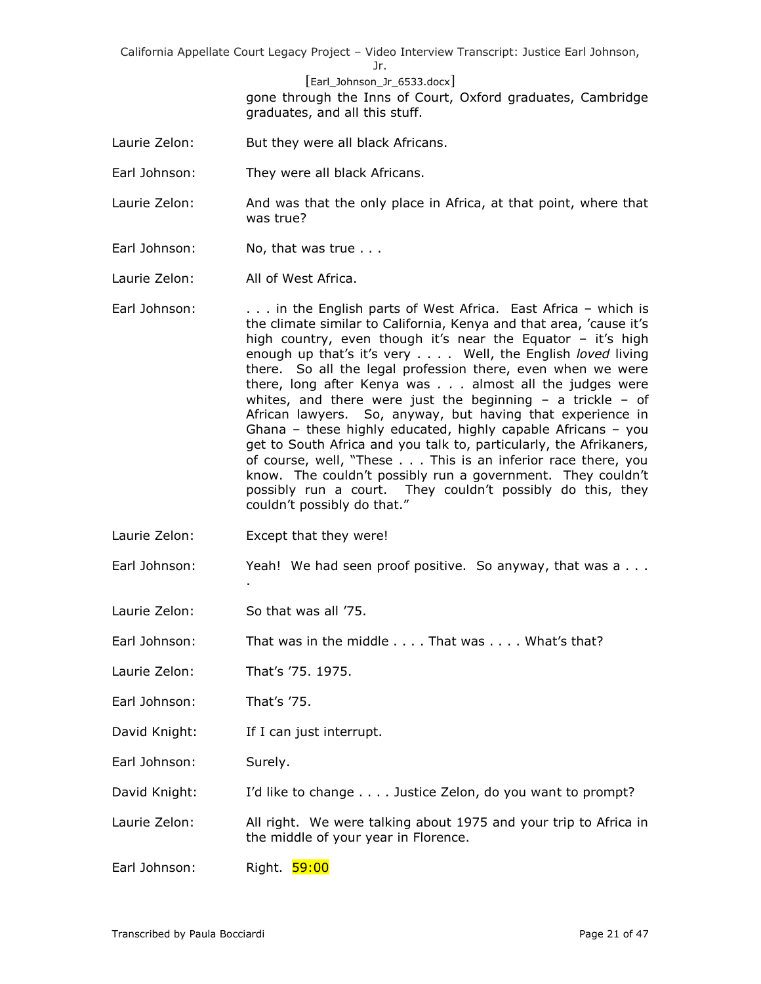Jr.

[Earl\_Johnson\_Jr\_6533.docx]

gone through the Inns of Court, Oxford graduates, Cambridge graduates, and all this stuff.

- Laurie Zelon: But they were all black Africans.
- Earl Johnson: They were all black Africans.
- Laurie Zelon: And was that the only place in Africa, at that point, where that was true?
- Earl Johnson: No, that was true . . .
- Laurie Zelon: All of West Africa.
- Earl Johnson: . . . . in the English parts of West Africa. East Africa which is the climate similar to California, Kenya and that area, 'cause it's high country, even though it's near the Equator – it's high enough up that's it's very . . . . Well, the English *loved* living there. So all the legal profession there, even when we were there, long after Kenya was *. . .* almost all the judges were whites, and there were just the beginning  $-$  a trickle  $-$  of African lawyers. So, anyway, but having that experience in Ghana – these highly educated, highly capable Africans – you get to South Africa and you talk to, particularly, the Afrikaners, of course, well, "These . . . This is an inferior race there, you know. The couldn't possibly run a government. They couldn't possibly run a court. They couldn't possibly do this, they couldn't possibly do that."
- Laurie Zelon: Except that they were!

.

- Earl Johnson: Yeah! We had seen proof positive. So anyway, that was a . . .
- Laurie Zelon: So that was all '75.
- Earl Johnson: That was in the middle . . . . That was . . . . What's that?
- Laurie Zelon: That's '75. 1975.
- Earl Johnson: That's '75.
- David Knight: If I can just interrupt.
- Earl Johnson: Surely.

David Knight: I'd like to change . . . . Justice Zelon, do you want to prompt?

- Laurie Zelon: All right. We were talking about 1975 and your trip to Africa in the middle of your year in Florence.
- Earl Johnson: Right. 59:00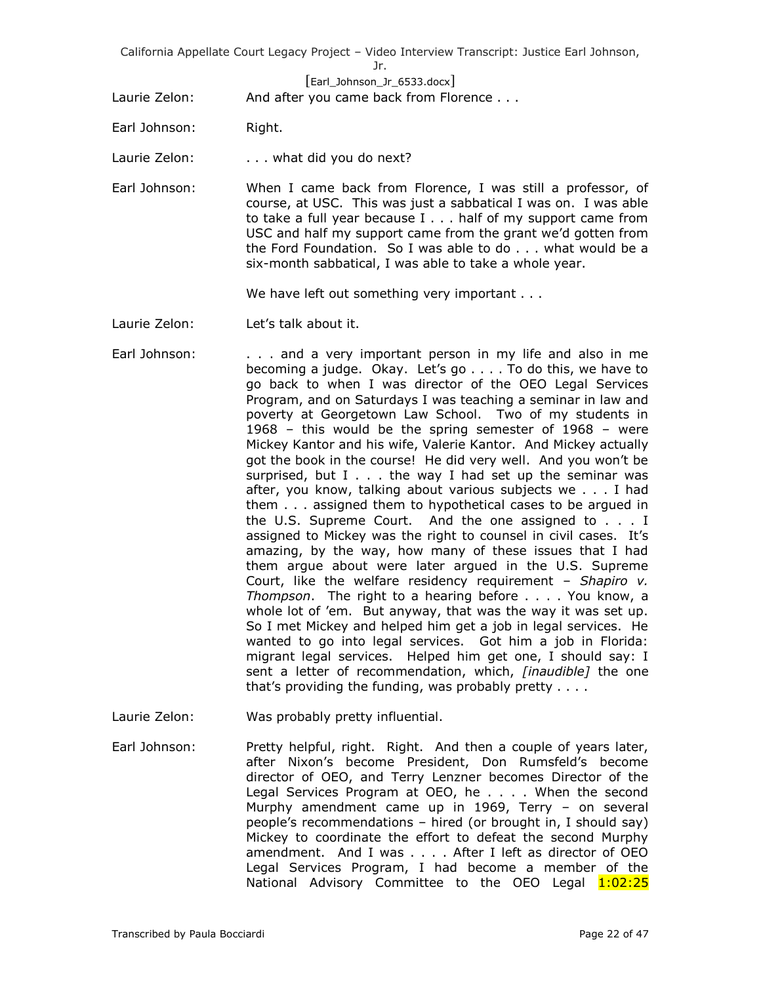# [Earl\_Johnson\_Jr\_6533.docx]

Laurie Zelon: And after you came back from Florence . . .

- Earl Johnson: Right.
- Laurie Zelon: . . . . what did you do next?
- Earl Johnson: When I came back from Florence, I was still a professor, of course, at USC. This was just a sabbatical I was on. I was able to take a full year because I . . . half of my support came from USC and half my support came from the grant we'd gotten from the Ford Foundation. So I was able to do . . . what would be a six-month sabbatical, I was able to take a whole year.

We have left out something very important . . .

- Laurie Zelon: Let's talk about it.
- Earl Johnson: . . . . and a very important person in my life and also in me becoming a judge. Okay. Let's go . . . . To do this, we have to go back to when I was director of the OEO Legal Services Program, and on Saturdays I was teaching a seminar in law and poverty at Georgetown Law School. Two of my students in 1968 – this would be the spring semester of 1968 – were Mickey Kantor and his wife, Valerie Kantor. And Mickey actually got the book in the course! He did very well. And you won't be surprised, but  $I \ldots$  the way I had set up the seminar was after, you know, talking about various subjects we . . . I had them . . . assigned them to hypothetical cases to be argued in the U.S. Supreme Court. And the one assigned to . . . I assigned to Mickey was the right to counsel in civil cases. It's amazing, by the way, how many of these issues that I had them argue about were later argued in the U.S. Supreme Court, like the welfare residency requirement – *Shapiro v. Thompson*. The right to a hearing before . . . . You know, a whole lot of 'em. But anyway, that was the way it was set up. So I met Mickey and helped him get a job in legal services. He wanted to go into legal services. Got him a job in Florida: migrant legal services. Helped him get one, I should say: I sent a letter of recommendation, which, *[inaudible]* the one that's providing the funding, was probably pretty . . . .
- Laurie Zelon: Was probably pretty influential.

Earl Johnson: Pretty helpful, right. Right. And then a couple of years later, after Nixon's become President, Don Rumsfeld's become director of OEO, and Terry Lenzner becomes Director of the Legal Services Program at OEO, he . . . . When the second Murphy amendment came up in 1969, Terry – on several people's recommendations – hired (or brought in, I should say) Mickey to coordinate the effort to defeat the second Murphy amendment. And I was . . . . After I left as director of OEO Legal Services Program, I had become a member of the National Advisory Committee to the OEO Legal 1:02:25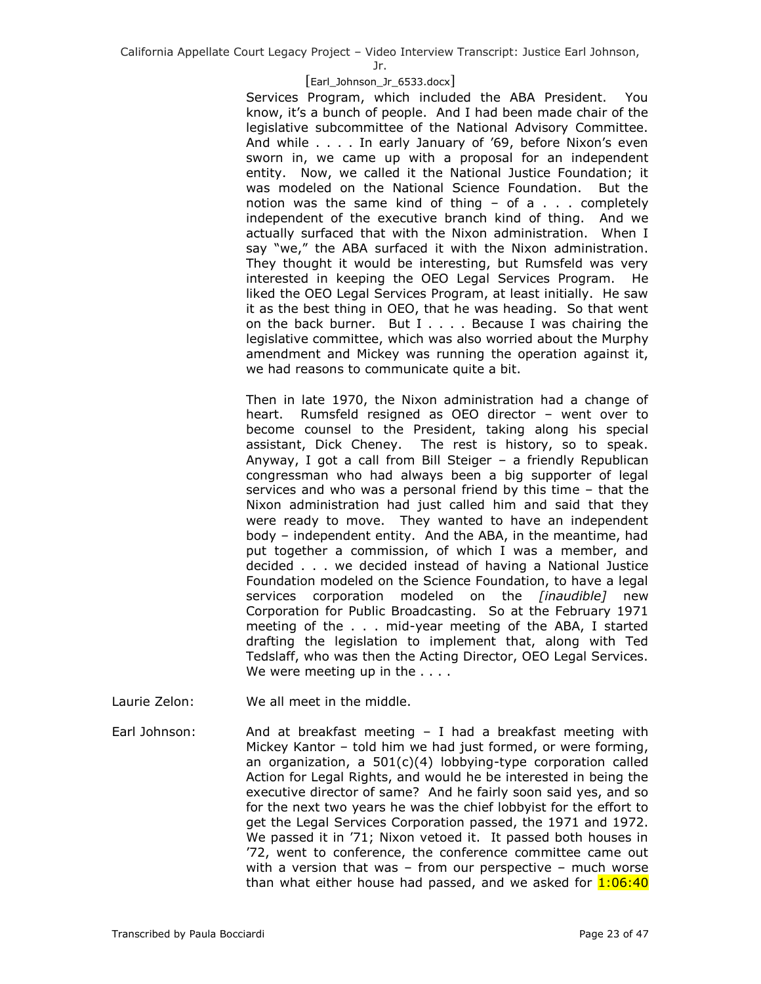Jr.

#### [Earl\_Johnson\_Jr\_6533.docx]

Services Program, which included the ABA President. You know, it's a bunch of people. And I had been made chair of the legislative subcommittee of the National Advisory Committee. And while . . . . In early January of '69, before Nixon's even sworn in, we came up with a proposal for an independent entity. Now, we called it the National Justice Foundation; it was modeled on the National Science Foundation. But the notion was the same kind of thing  $-$  of a  $\ldots$  completely independent of the executive branch kind of thing. And we actually surfaced that with the Nixon administration. When I say "we," the ABA surfaced it with the Nixon administration. They thought it would be interesting, but Rumsfeld was very interested in keeping the OEO Legal Services Program. He liked the OEO Legal Services Program, at least initially. He saw it as the best thing in OEO, that he was heading. So that went on the back burner. But I . . . . Because I was chairing the legislative committee, which was also worried about the Murphy amendment and Mickey was running the operation against it, we had reasons to communicate quite a bit.

Then in late 1970, the Nixon administration had a change of heart. Rumsfeld resigned as OEO director – went over to become counsel to the President, taking along his special assistant, Dick Cheney. The rest is history, so to speak. Anyway, I got a call from Bill Steiger – a friendly Republican congressman who had always been a big supporter of legal services and who was a personal friend by this time – that the Nixon administration had just called him and said that they were ready to move. They wanted to have an independent body – independent entity. And the ABA, in the meantime, had put together a commission, of which I was a member, and decided . . . we decided instead of having a National Justice Foundation modeled on the Science Foundation, to have a legal services corporation modeled on the *[inaudible]* new Corporation for Public Broadcasting. So at the February 1971 meeting of the . . . mid-year meeting of the ABA, I started drafting the legislation to implement that, along with Ted Tedslaff, who was then the Acting Director, OEO Legal Services. We were meeting up in the . . . .

Laurie Zelon: We all meet in the middle.

Earl Johnson: And at breakfast meeting  $-$  I had a breakfast meeting with Mickey Kantor – told him we had just formed, or were forming, an organization, a 501(c)(4) lobbying-type corporation called Action for Legal Rights, and would he be interested in being the executive director of same? And he fairly soon said yes, and so for the next two years he was the chief lobbyist for the effort to get the Legal Services Corporation passed, the 1971 and 1972. We passed it in '71; Nixon vetoed it. It passed both houses in '72, went to conference, the conference committee came out with a version that was – from our perspective – much worse than what either house had passed, and we asked for  $1:06:40$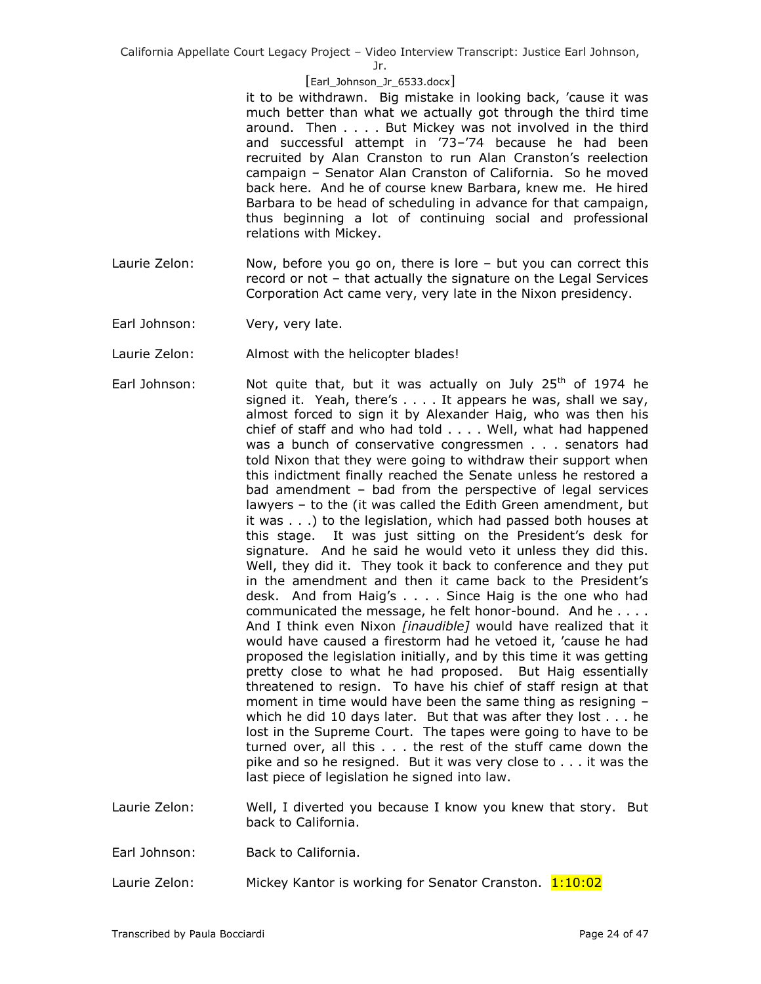Jr.

## [Earl\_Johnson\_Jr\_6533.docx]

it to be withdrawn. Big mistake in looking back, 'cause it was much better than what we actually got through the third time around. Then . . . . But Mickey was not involved in the third and successful attempt in '73–'74 because he had been recruited by Alan Cranston to run Alan Cranston's reelection campaign – Senator Alan Cranston of California. So he moved back here. And he of course knew Barbara, knew me. He hired Barbara to be head of scheduling in advance for that campaign, thus beginning a lot of continuing social and professional relations with Mickey.

- Laurie Zelon: Now, before you go on, there is lore but you can correct this record or not – that actually the signature on the Legal Services Corporation Act came very, very late in the Nixon presidency.
- Earl Johnson: Very, very late.
- Laurie Zelon: Almost with the helicopter blades!
- Earl Johnson: Not quite that, but it was actually on July  $25<sup>th</sup>$  of 1974 he signed it. Yeah, there's . . . . It appears he was, shall we say, almost forced to sign it by Alexander Haig, who was then his chief of staff and who had told . . . . Well, what had happened was a bunch of conservative congressmen . . . senators had told Nixon that they were going to withdraw their support when this indictment finally reached the Senate unless he restored a bad amendment – bad from the perspective of legal services lawyers – to the (it was called the Edith Green amendment, but it was . . .) to the legislation, which had passed both houses at this stage. It was just sitting on the President's desk for signature. And he said he would veto it unless they did this. Well, they did it. They took it back to conference and they put in the amendment and then it came back to the President's desk. And from Haig's . . . . Since Haig is the one who had communicated the message, he felt honor-bound. And he . . . . And I think even Nixon *[inaudible]* would have realized that it would have caused a firestorm had he vetoed it, 'cause he had proposed the legislation initially, and by this time it was getting pretty close to what he had proposed. But Haig essentially threatened to resign. To have his chief of staff resign at that moment in time would have been the same thing as resigning – which he did 10 days later. But that was after they lost . . . he lost in the Supreme Court. The tapes were going to have to be turned over, all this . . . the rest of the stuff came down the pike and so he resigned. But it was very close to . . . it was the last piece of legislation he signed into law.
- Laurie Zelon: Well, I diverted you because I know you knew that story. But back to California.
- Earl Johnson: Back to California.
- Laurie Zelon: Mickey Kantor is working for Senator Cranston. 1:10:02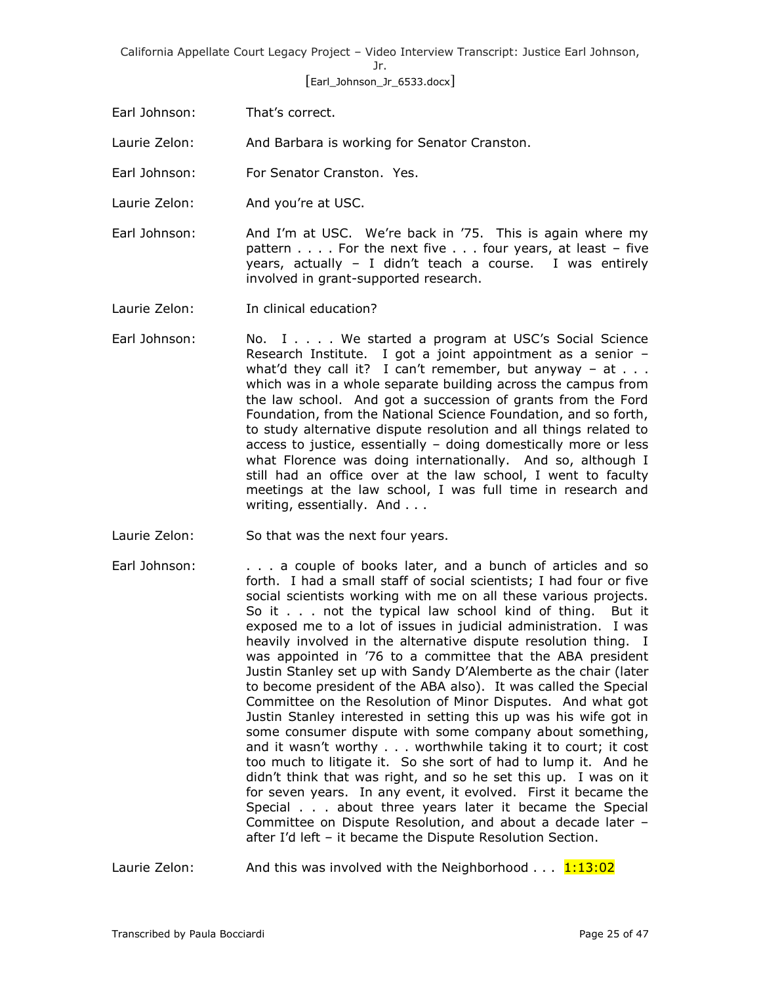Jr.

[Earl\_Johnson\_Jr\_6533.docx]

Earl Johnson: That's correct.

Laurie Zelon: And Barbara is working for Senator Cranston.

Earl Johnson: For Senator Cranston. Yes.

Laurie Zelon: And you're at USC.

Earl Johnson: And I'm at USC. We're back in '75. This is again where my pattern . . . . For the next five . . . four years, at least – five years, actually – I didn't teach a course. I was entirely involved in grant-supported research.

Laurie Zelon: In clinical education?

- Earl Johnson: No. I . . . . We started a program at USC's Social Science Research Institute. I got a joint appointment as a senior – what'd they call it? I can't remember, but anyway  $-$  at  $\ldots$ . which was in a whole separate building across the campus from the law school. And got a succession of grants from the Ford Foundation, from the National Science Foundation, and so forth, to study alternative dispute resolution and all things related to access to justice, essentially – doing domestically more or less what Florence was doing internationally. And so, although I still had an office over at the law school, I went to faculty meetings at the law school, I was full time in research and writing, essentially. And . . .
- Laurie Zelon: So that was the next four years.
- Earl Johnson: . . . a couple of books later, and a bunch of articles and so forth. I had a small staff of social scientists; I had four or five social scientists working with me on all these various projects. So it . . . not the typical law school kind of thing. But it exposed me to a lot of issues in judicial administration. I was heavily involved in the alternative dispute resolution thing. I was appointed in '76 to a committee that the ABA president Justin Stanley set up with Sandy D'Alemberte as the chair (later to become president of the ABA also). It was called the Special Committee on the Resolution of Minor Disputes. And what got Justin Stanley interested in setting this up was his wife got in some consumer dispute with some company about something, and it wasn't worthy . . . worthwhile taking it to court; it cost too much to litigate it. So she sort of had to lump it. And he didn't think that was right, and so he set this up. I was on it for seven years. In any event, it evolved. First it became the Special . . . about three years later it became the Special Committee on Dispute Resolution, and about a decade later – after I'd left – it became the Dispute Resolution Section.

Laurie Zelon: And this was involved with the Neighborhood  $\dots$  1:13:02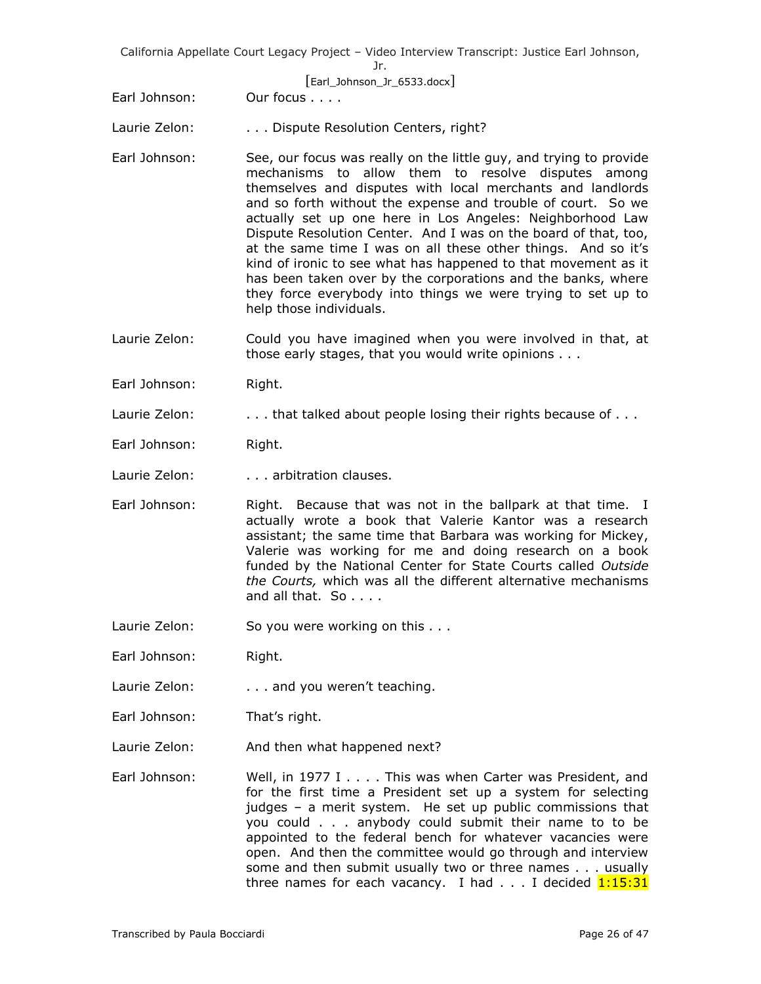[Earl\_Johnson\_Jr\_6533.docx]

Earl Johnson: Our focus . . . .

Laurie Zelon: . . . . Dispute Resolution Centers, right?

- Earl Johnson: See, our focus was really on the little guy, and trying to provide mechanisms to allow them to resolve disputes among themselves and disputes with local merchants and landlords and so forth without the expense and trouble of court. So we actually set up one here in Los Angeles: Neighborhood Law Dispute Resolution Center. And I was on the board of that, too, at the same time I was on all these other things. And so it's kind of ironic to see what has happened to that movement as it has been taken over by the corporations and the banks, where they force everybody into things we were trying to set up to help those individuals.
- Laurie Zelon: Could you have imagined when you were involved in that, at those early stages, that you would write opinions . . .
- Earl Johnson: Right.
- Laurie Zelon: . . . . . that talked about people losing their rights because of . . .
- Earl Johnson: Right.
- Laurie Zelon: . . . . . arbitration clauses.
- Earl Johnson: Right. Because that was not in the ballpark at that time. I actually wrote a book that Valerie Kantor was a research assistant; the same time that Barbara was working for Mickey, Valerie was working for me and doing research on a book funded by the National Center for State Courts called *Outside the Courts,* which was all the different alternative mechanisms and all that. So . . . .
- Laurie Zelon: So you were working on this . . .
- Earl Johnson: Right.
- Laurie Zelon: . . . . . and you weren't teaching.
- Earl Johnson: That's right.
- Laurie Zelon: And then what happened next?
- Earl Johnson: Well, in 1977 I . . . . This was when Carter was President, and for the first time a President set up a system for selecting judges – a merit system. He set up public commissions that you could . . . anybody could submit their name to to be appointed to the federal bench for whatever vacancies were open. And then the committee would go through and interview some and then submit usually two or three names . . . usually three names for each vacancy. I had  $\ldots$  I decided  $1:15:31$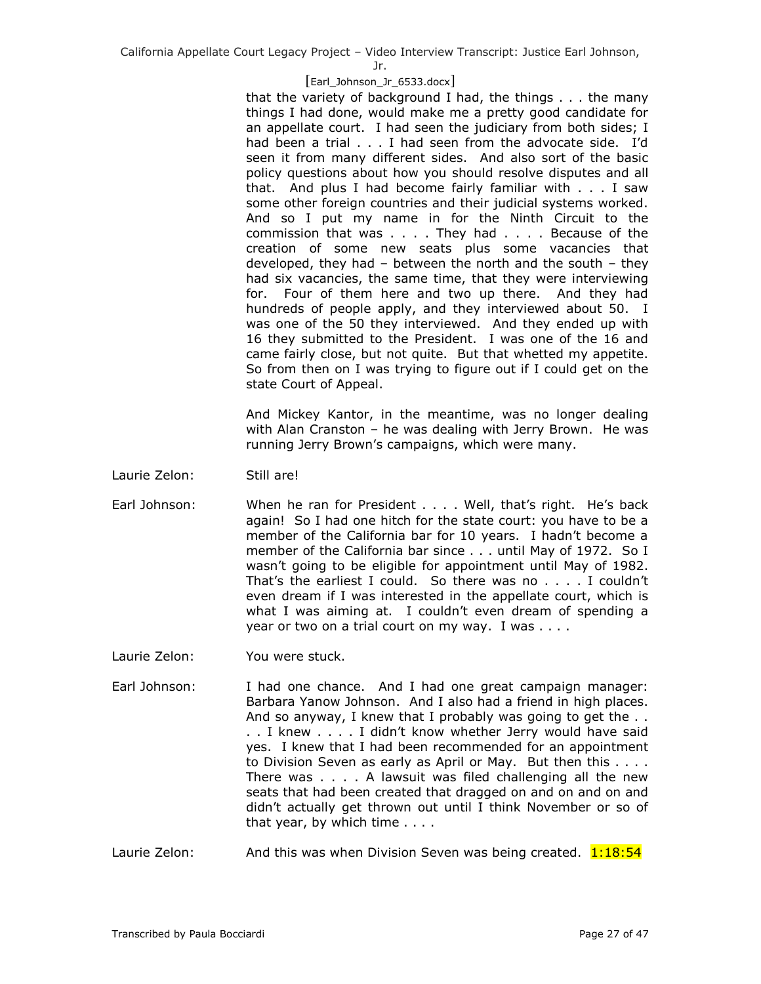Jr.

# [Earl\_Johnson\_Jr\_6533.docx]

that the variety of background I had, the things . . . the many things I had done, would make me a pretty good candidate for an appellate court. I had seen the judiciary from both sides; I had been a trial . . . I had seen from the advocate side. I'd seen it from many different sides. And also sort of the basic policy questions about how you should resolve disputes and all that. And plus I had become fairly familiar with . . . I saw some other foreign countries and their judicial systems worked. And so I put my name in for the Ninth Circuit to the commission that was . . . . They had . . . . Because of the creation of some new seats plus some vacancies that developed, they had – between the north and the south – they had six vacancies, the same time, that they were interviewing for. Four of them here and two up there. And they had hundreds of people apply, and they interviewed about 50. I was one of the 50 they interviewed. And they ended up with 16 they submitted to the President. I was one of the 16 and came fairly close, but not quite. But that whetted my appetite. So from then on I was trying to figure out if I could get on the state Court of Appeal.

And Mickey Kantor, in the meantime, was no longer dealing with Alan Cranston – he was dealing with Jerry Brown. He was running Jerry Brown's campaigns, which were many.

- Laurie Zelon: Still are!
- Earl Johnson: When he ran for President . . . . Well, that's right. He's back again! So I had one hitch for the state court: you have to be a member of the California bar for 10 years. I hadn't become a member of the California bar since . . . until May of 1972. So I wasn't going to be eligible for appointment until May of 1982. That's the earliest I could. So there was no . . . . I couldn't even dream if I was interested in the appellate court, which is what I was aiming at. I couldn't even dream of spending a year or two on a trial court on my way. I was . . . .
- Laurie Zelon: You were stuck.
- Earl Johnson: I had one chance. And I had one great campaign manager: Barbara Yanow Johnson. And I also had a friend in high places. And so anyway, I knew that I probably was going to get the .. . . I knew . . . . I didn't know whether Jerry would have said yes. I knew that I had been recommended for an appointment to Division Seven as early as April or May. But then this . . . . There was . . . . A lawsuit was filed challenging all the new seats that had been created that dragged on and on and on and didn't actually get thrown out until I think November or so of that year, by which time . . . .
- Laurie Zelon: And this was when Division Seven was being created. 1:18:54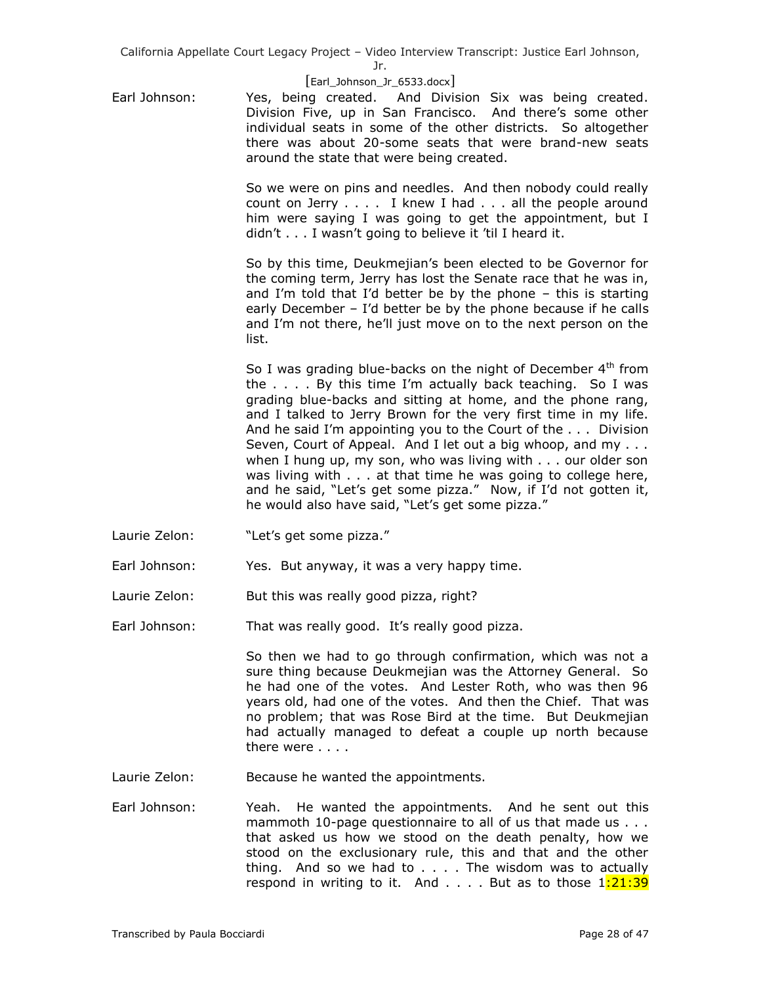Jr.

## [Earl\_Johnson\_Jr\_6533.docx]

Earl Johnson: Yes, being created. And Division Six was being created. Division Five, up in San Francisco. And there's some other individual seats in some of the other districts. So altogether there was about 20-some seats that were brand-new seats around the state that were being created.

> So we were on pins and needles. And then nobody could really count on Jerry . . . . I knew I had . . . all the people around him were saying I was going to get the appointment, but I didn't . . . I wasn't going to believe it 'til I heard it.

> So by this time, Deukmejian's been elected to be Governor for the coming term, Jerry has lost the Senate race that he was in, and I'm told that I'd better be by the phone – this is starting early December – I'd better be by the phone because if he calls and I'm not there, he'll just move on to the next person on the list.

> So I was grading blue-backs on the night of December  $4<sup>th</sup>$  from the . . . . By this time I'm actually back teaching. So I was grading blue-backs and sitting at home, and the phone rang, and I talked to Jerry Brown for the very first time in my life. And he said I'm appointing you to the Court of the . . . Division Seven, Court of Appeal. And I let out a big whoop, and my . . . when I hung up, my son, who was living with . . . our older son was living with . . . at that time he was going to college here, and he said, "Let's get some pizza." Now, if I'd not gotten it, he would also have said, "Let's get some pizza."

- Laurie Zelon: "Let's get some pizza."
- Earl Johnson: Yes. But anyway, it was a very happy time.
- Laurie Zelon: But this was really good pizza, right?
- Earl Johnson: That was really good. It's really good pizza.

So then we had to go through confirmation, which was not a sure thing because Deukmejian was the Attorney General. So he had one of the votes. And Lester Roth, who was then 96 years old, had one of the votes. And then the Chief. That was no problem; that was Rose Bird at the time. But Deukmejian had actually managed to defeat a couple up north because there were . . . .

- Laurie Zelon: Because he wanted the appointments.
- Earl Johnson: Yeah. He wanted the appointments. And he sent out this mammoth 10-page questionnaire to all of us that made us . . . that asked us how we stood on the death penalty, how we stood on the exclusionary rule, this and that and the other thing. And so we had to  $\ldots$ . The wisdom was to actually respond in writing to it. And  $\ldots$  But as to those  $1:21:39$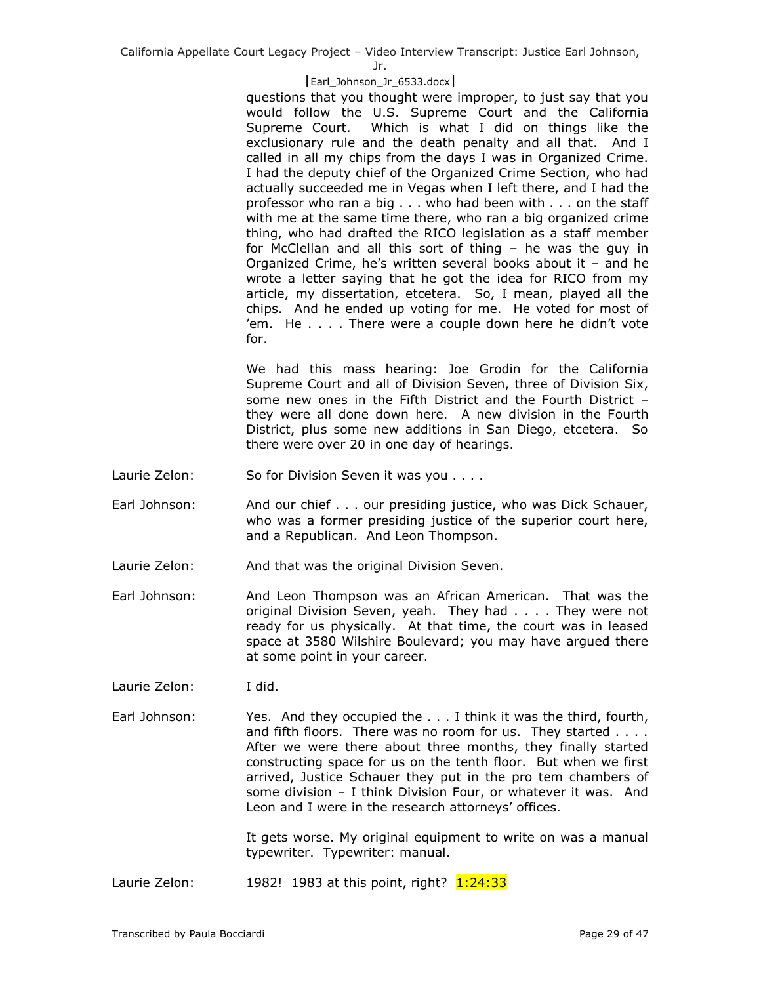Jr.

## [Earl\_Johnson\_Jr\_6533.docx]

questions that you thought were improper, to just say that you would follow the U.S. Supreme Court and the California Supreme Court. Which is what I did on things like the exclusionary rule and the death penalty and all that. And I called in all my chips from the days I was in Organized Crime. I had the deputy chief of the Organized Crime Section, who had actually succeeded me in Vegas when I left there, and I had the professor who ran a big . . . who had been with . . . on the staff with me at the same time there, who ran a big organized crime thing, who had drafted the RICO legislation as a staff member for McClellan and all this sort of thing – he was the guy in Organized Crime, he's written several books about it – and he wrote a letter saying that he got the idea for RICO from my article, my dissertation, etcetera. So, I mean, played all the chips. And he ended up voting for me. He voted for most of 'em. He . . . . There were a couple down here he didn't vote for.

We had this mass hearing: Joe Grodin for the California Supreme Court and all of Division Seven, three of Division Six, some new ones in the Fifth District and the Fourth District – they were all done down here. A new division in the Fourth District, plus some new additions in San Diego, etcetera. So there were over 20 in one day of hearings.

- Laurie Zelon: So for Division Seven it was you . . . .
- Earl Johnson: And our chief . . . our presiding justice, who was Dick Schauer, who was a former presiding justice of the superior court here, and a Republican. And Leon Thompson.
- Laurie Zelon: And that was the original Division Seven.
- Earl Johnson: And Leon Thompson was an African American. That was the original Division Seven, yeah. They had . . . . They were not ready for us physically. At that time, the court was in leased space at 3580 Wilshire Boulevard; you may have argued there at some point in your career.
- Laurie Zelon: I did.
- Earl Johnson: Yes. And they occupied the . . . I think it was the third, fourth, and fifth floors. There was no room for us. They started . . . . After we were there about three months, they finally started constructing space for us on the tenth floor. But when we first arrived, Justice Schauer they put in the pro tem chambers of some division – I think Division Four, or whatever it was. And Leon and I were in the research attorneys' offices.

It gets worse. My original equipment to write on was a manual typewriter. Typewriter: manual.

Laurie Zelon:  $1982!$  1983 at this point, right?  $1:24:33$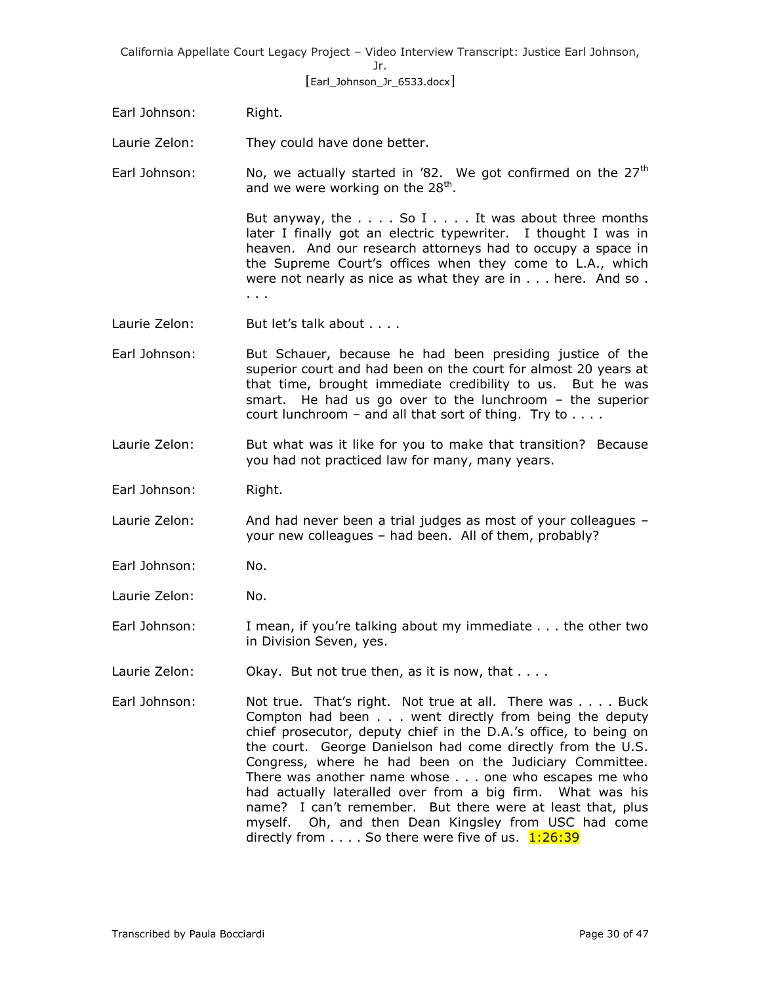Jr.

[Earl\_Johnson\_Jr\_6533.docx]

Earl Johnson: Right.

Laurie Zelon: They could have done better.

Earl Johnson: No, we actually started in  $\delta$  2. We got confirmed on the 27<sup>th</sup> and we were working on the 28<sup>th</sup>.

> But anyway, the  $\dots$  . So I  $\dots$  . It was about three months later I finally got an electric typewriter. I thought I was in heaven. And our research attorneys had to occupy a space in the Supreme Court's offices when they come to L.A., which were not nearly as nice as what they are in . . . here. And so. . . .

- Laurie Zelon: But let's talk about . . . .
- Earl Johnson: But Schauer, because he had been presiding justice of the superior court and had been on the court for almost 20 years at that time, brought immediate credibility to us. But he was smart. He had us go over to the lunchroom – the superior court lunchroom – and all that sort of thing. Try to  $\dots$ .
- Laurie Zelon: But what was it like for you to make that transition? Because you had not practiced law for many, many years.
- Earl Johnson: Right.
- Laurie Zelon: And had never been a trial judges as most of your colleagues your new colleagues – had been. All of them, probably?
- Earl Johnson: No.
- Laurie Zelon: No.
- Earl Johnson: I mean, if you're talking about my immediate . . . the other two in Division Seven, yes.
- Laurie Zelon: Ckay. But not true then, as it is now, that . . . .
- Earl Johnson: Not true. That's right. Not true at all. There was . . . . Buck Compton had been . . . went directly from being the deputy chief prosecutor, deputy chief in the D.A.'s office, to being on the court. George Danielson had come directly from the U.S. Congress, where he had been on the Judiciary Committee. There was another name whose . . . one who escapes me who had actually lateralled over from a big firm. What was his name? I can't remember. But there were at least that, plus myself. Oh, and then Dean Kingsley from USC had come directly from  $\dots$ . So there were five of us.  $1:26:39$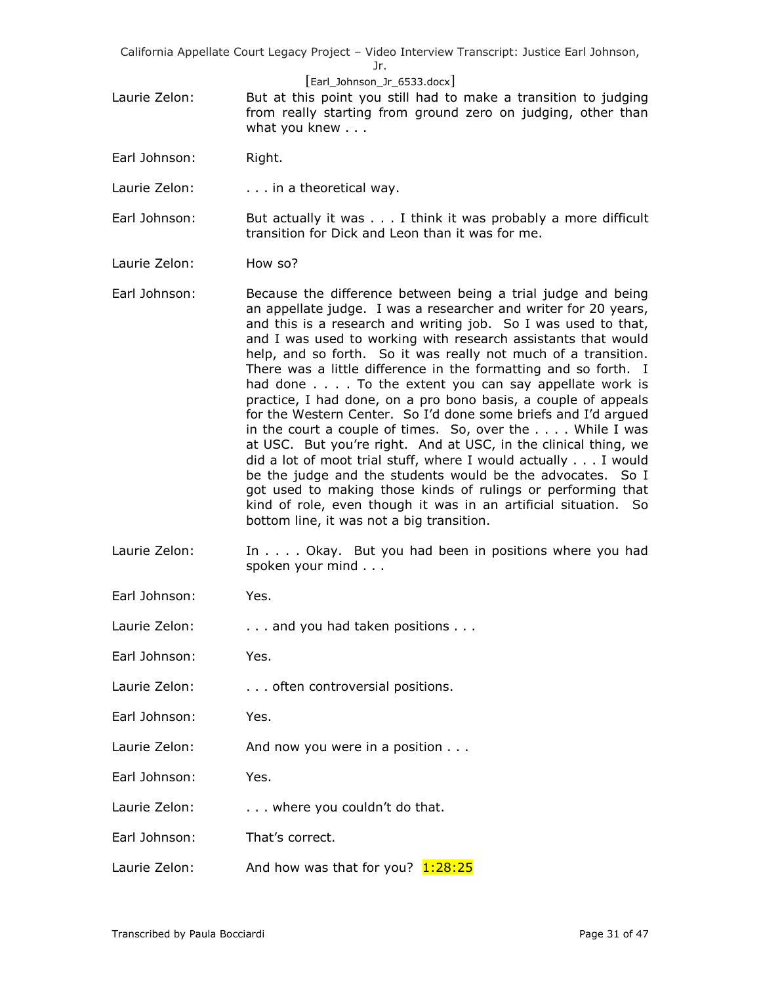Jr.

- [Earl\_Johnson\_Jr\_6533.docx]
- Laurie Zelon: But at this point you still had to make a transition to judging from really starting from ground zero on judging, other than what you knew . . .
- Earl Johnson: Right.
- Laurie Zelon: . . . . in a theoretical way.
- Earl Johnson: But actually it was . . . I think it was probably a more difficult transition for Dick and Leon than it was for me.
- Laurie Zelon: How so?
- Earl Johnson: Because the difference between being a trial judge and being an appellate judge. I was a researcher and writer for 20 years, and this is a research and writing job. So I was used to that, and I was used to working with research assistants that would help, and so forth. So it was really not much of a transition. There was a little difference in the formatting and so forth. I had done . . . . To the extent you can say appellate work is practice, I had done, on a pro bono basis, a couple of appeals for the Western Center. So I'd done some briefs and I'd argued in the court a couple of times. So, over the . . . . While I was at USC. But you're right. And at USC, in the clinical thing, we did a lot of moot trial stuff, where I would actually . . . I would be the judge and the students would be the advocates. So I got used to making those kinds of rulings or performing that kind of role, even though it was in an artificial situation. So bottom line, it was not a big transition.
- Laurie Zelon: In . . . . Okay. But you had been in positions where you had spoken your mind . . .
- Earl Johnson: Yes.
- Laurie Zelon:  $\ldots$  . . . and you had taken positions . . .
- Earl Johnson: Yes.
- Laurie Zelon: . . . . . . often controversial positions.
- Earl Johnson: Yes.
- Laurie Zelon: And now you were in a position . . .
- Earl Johnson: Yes.
- Laurie Zelon: . . . . where you couldn't do that.
- Earl Johnson: That's correct.
- Laurie Zelon: And how was that for you?  $1:28:25$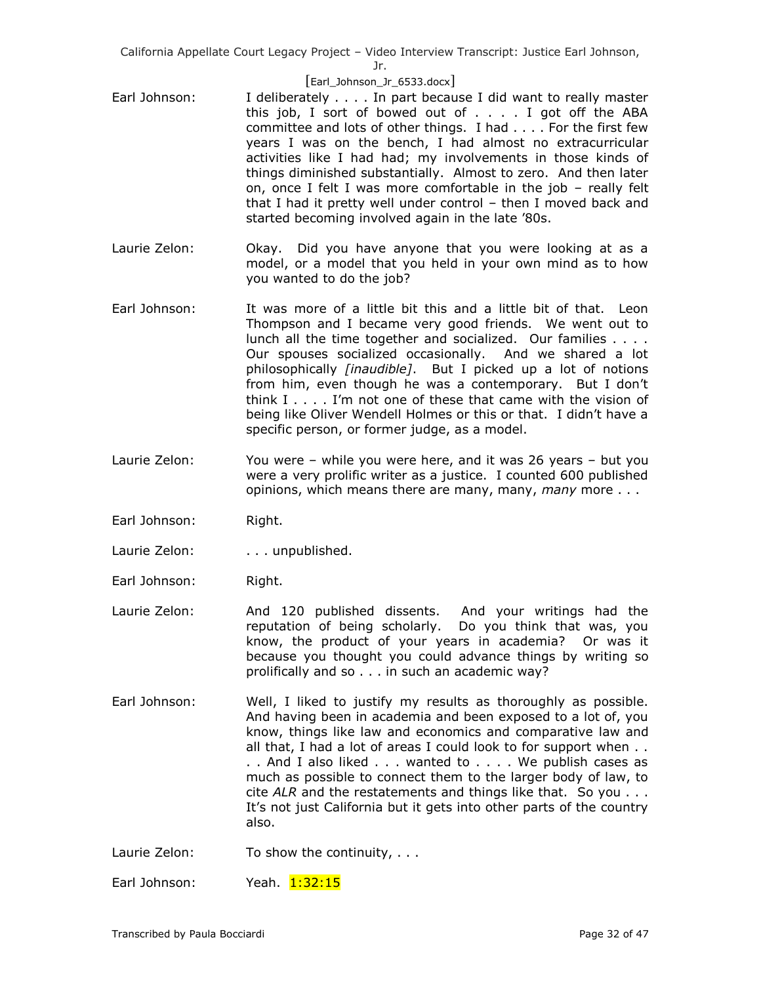[Earl\_Johnson\_Jr\_6533.docx]

- Earl Johnson: I deliberately . . . . In part because I did want to really master this job, I sort of bowed out of . . . . I got off the ABA committee and lots of other things. I had . . . . For the first few years I was on the bench, I had almost no extracurricular activities like I had had; my involvements in those kinds of things diminished substantially. Almost to zero. And then later on, once I felt I was more comfortable in the job – really felt that I had it pretty well under control – then I moved back and started becoming involved again in the late '80s.
- Laurie Zelon: Okay. Did you have anyone that you were looking at as a model, or a model that you held in your own mind as to how you wanted to do the job?
- Earl Johnson: It was more of a little bit this and a little bit of that. Leon Thompson and I became very good friends. We went out to lunch all the time together and socialized. Our families . . . . Our spouses socialized occasionally. And we shared a lot philosophically *[inaudible]*. But I picked up a lot of notions from him, even though he was a contemporary. But I don't think I . . . . I'm not one of these that came with the vision of being like Oliver Wendell Holmes or this or that. I didn't have a specific person, or former judge, as a model.
- Laurie Zelon: You were while you were here, and it was 26 years but you were a very prolific writer as a justice. I counted 600 published opinions, which means there are many, many, *many* more . . .
- Earl Johnson: Right.
- Laurie Zelon: . . . . unpublished.
- Earl Johnson: Right.
- Laurie Zelon: And 120 published dissents. And your writings had the reputation of being scholarly. Do you think that was, you know, the product of your years in academia? Or was it because you thought you could advance things by writing so prolifically and so . . . in such an academic way?
- Earl Johnson: Well, I liked to justify my results as thoroughly as possible. And having been in academia and been exposed to a lot of, you know, things like law and economics and comparative law and all that, I had a lot of areas I could look to for support when . . . . And I also liked . . . wanted to . . . . We publish cases as much as possible to connect them to the larger body of law, to cite *ALR* and the restatements and things like that. So you . . . It's not just California but it gets into other parts of the country also.
- Laurie Zelon: To show the continuity, ...

Earl Johnson: Yeah. 1:32:15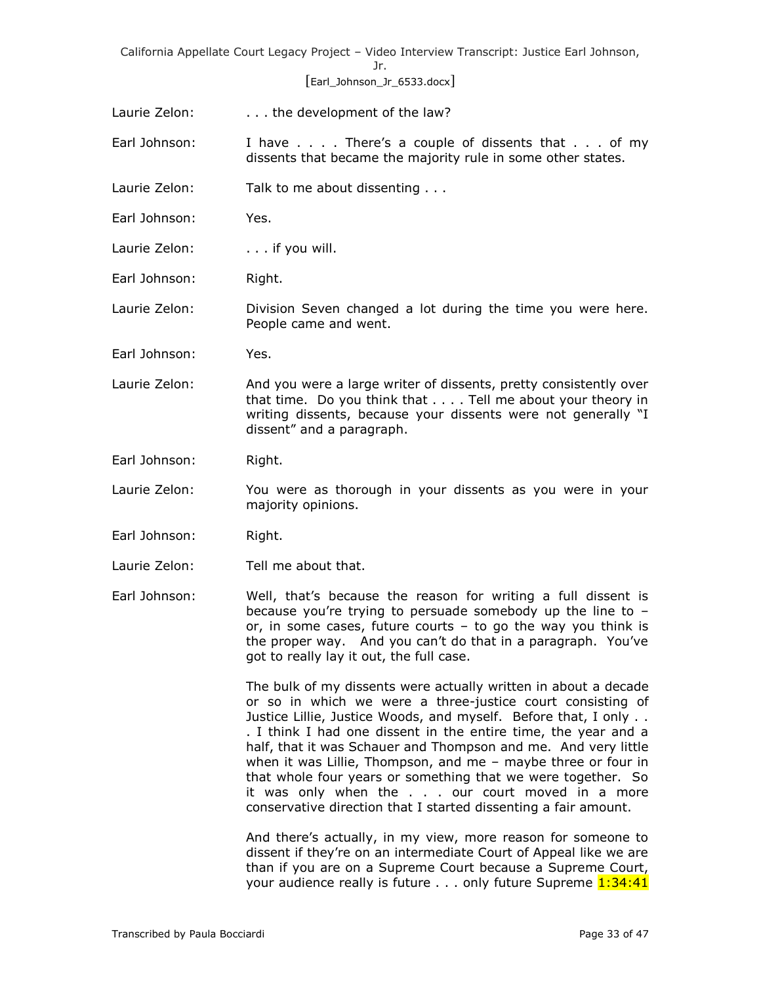# [Earl\_Johnson\_Jr\_6533.docx]

- Laurie Zelon: . . . . . the development of the law?
- Earl Johnson: I have . . . . There's a couple of dissents that . . . of my dissents that became the majority rule in some other states.
- Laurie Zelon: Talk to me about dissenting . . .
- Earl Johnson: Yes.
- Laurie Zelon: ... if you will.
- Earl Johnson: Right.

Laurie Zelon: Division Seven changed a lot during the time you were here. People came and went.

- Earl Johnson: Yes.
- Laurie Zelon: And you were a large writer of dissents, pretty consistently over that time. Do you think that . . . . Tell me about your theory in writing dissents, because your dissents were not generally "I dissent" and a paragraph.
- Earl Johnson: Right.
- Laurie Zelon: You were as thorough in your dissents as you were in your majority opinions.
- Earl Johnson: Right.
- Laurie Zelon: Tell me about that.
- Earl Johnson: Well, that's because the reason for writing a full dissent is because you're trying to persuade somebody up the line to – or, in some cases, future courts – to go the way you think is the proper way. And you can't do that in a paragraph. You've got to really lay it out, the full case.

The bulk of my dissents were actually written in about a decade or so in which we were a three-justice court consisting of Justice Lillie, Justice Woods, and myself. Before that, I only .. . I think I had one dissent in the entire time, the year and a half, that it was Schauer and Thompson and me. And very little when it was Lillie, Thompson, and me – maybe three or four in that whole four years or something that we were together. So it was only when the . . . our court moved in a more conservative direction that I started dissenting a fair amount.

And there's actually, in my view, more reason for someone to dissent if they're on an intermediate Court of Appeal like we are than if you are on a Supreme Court because a Supreme Court, your audience really is future . . . only future Supreme 1:34:41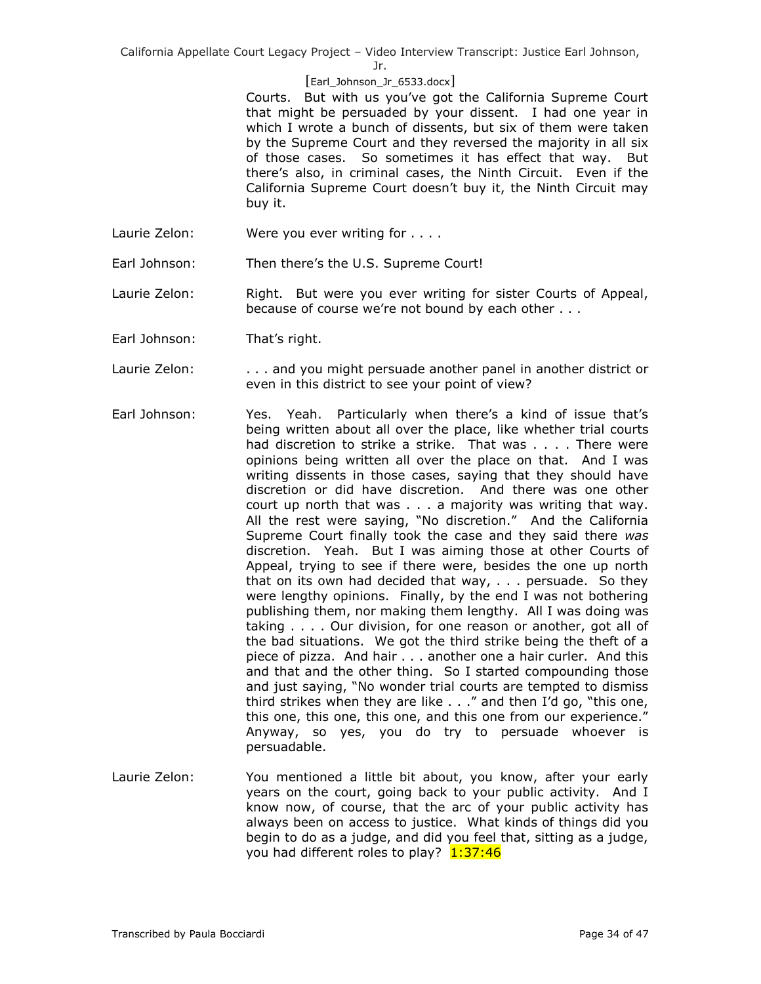Jr.

# [Earl\_Johnson\_Jr\_6533.docx]

Courts. But with us you've got the California Supreme Court that might be persuaded by your dissent. I had one year in which I wrote a bunch of dissents, but six of them were taken by the Supreme Court and they reversed the majority in all six of those cases. So sometimes it has effect that way. But there's also, in criminal cases, the Ninth Circuit. Even if the California Supreme Court doesn't buy it, the Ninth Circuit may buy it.

- Laurie Zelon: Were you ever writing for . . . .
- Earl Johnson: Then there's the U.S. Supreme Court!

Laurie Zelon: Right. But were you ever writing for sister Courts of Appeal, because of course we're not bound by each other . . .

- Earl Johnson: That's right.
- Laurie Zelon: . . . . . and you might persuade another panel in another district or even in this district to see your point of view?
- Earl Johnson: Yes. Yeah. Particularly when there's a kind of issue that's being written about all over the place, like whether trial courts had discretion to strike a strike. That was . . . . There were opinions being written all over the place on that. And I was writing dissents in those cases, saying that they should have discretion or did have discretion. And there was one other court up north that was . . . a majority was writing that way. All the rest were saying, "No discretion." And the California Supreme Court finally took the case and they said there *was* discretion. Yeah. But I was aiming those at other Courts of Appeal, trying to see if there were, besides the one up north that on its own had decided that way, . . . persuade. So they were lengthy opinions. Finally, by the end I was not bothering publishing them, nor making them lengthy. All I was doing was taking . . . . Our division, for one reason or another, got all of the bad situations. We got the third strike being the theft of a piece of pizza. And hair . . . another one a hair curler. And this and that and the other thing. So I started compounding those and just saying, "No wonder trial courts are tempted to dismiss third strikes when they are like . . ." and then I'd go, "this one, this one, this one, this one, and this one from our experience." Anyway, so yes, you do try to persuade whoever is persuadable.
- Laurie Zelon: You mentioned a little bit about, you know, after your early years on the court, going back to your public activity. And I know now, of course, that the arc of your public activity has always been on access to justice. What kinds of things did you begin to do as a judge, and did you feel that, sitting as a judge, you had different roles to play? 1:37:46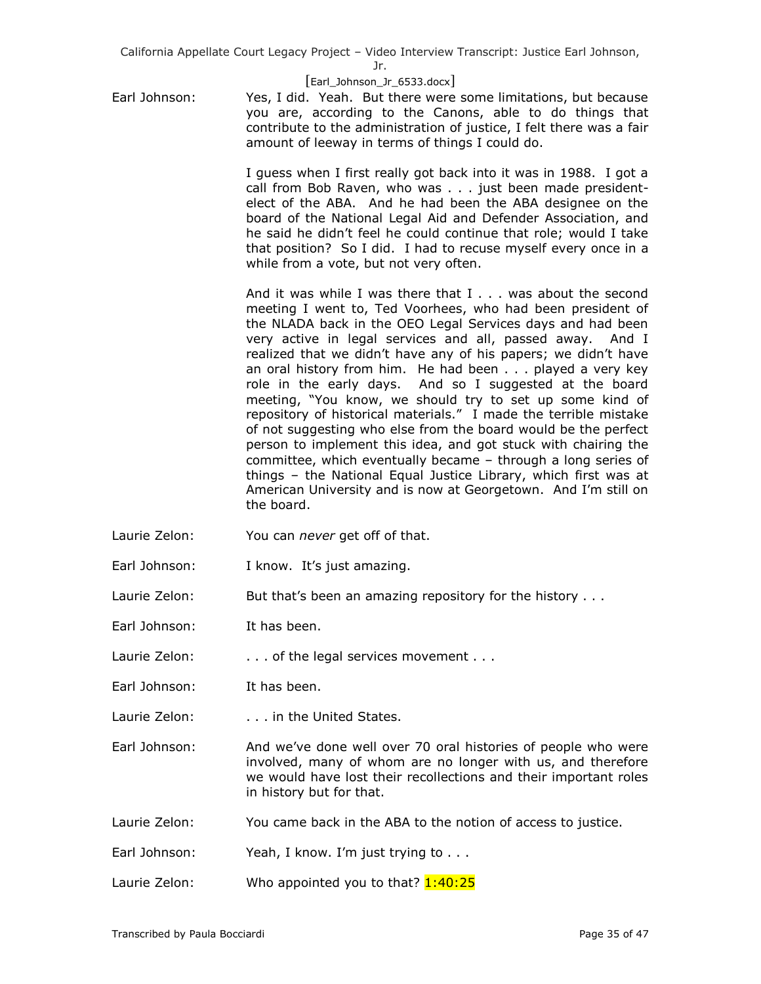Jr.

## [Earl\_Johnson\_Jr\_6533.docx]

Earl Johnson: Yes, I did. Yeah. But there were some limitations, but because you are, according to the Canons, able to do things that contribute to the administration of justice, I felt there was a fair amount of leeway in terms of things I could do.

> I guess when I first really got back into it was in 1988. I got a call from Bob Raven, who was . . . just been made presidentelect of the ABA. And he had been the ABA designee on the board of the National Legal Aid and Defender Association, and he said he didn't feel he could continue that role; would I take that position? So I did. I had to recuse myself every once in a while from a vote, but not very often.

> And it was while I was there that I . . . was about the second meeting I went to, Ted Voorhees, who had been president of the NLADA back in the OEO Legal Services days and had been very active in legal services and all, passed away. And I realized that we didn't have any of his papers; we didn't have an oral history from him. He had been . . . played a very key role in the early days. And so I suggested at the board meeting, "You know, we should try to set up some kind of repository of historical materials." I made the terrible mistake of not suggesting who else from the board would be the perfect person to implement this idea, and got stuck with chairing the committee, which eventually became – through a long series of things – the National Equal Justice Library, which first was at American University and is now at Georgetown. And I'm still on the board.

- Laurie Zelon: You can *never* get off of that.
- Earl Johnson: I know. It's just amazing.

Laurie Zelon: But that's been an amazing repository for the history . . .

Earl Johnson: It has been.

Laurie Zelon: . . . . . . of the legal services movement . . .

Earl Johnson: It has been.

Laurie Zelon: . . . . . in the United States.

Earl Johnson: And we've done well over 70 oral histories of people who were involved, many of whom are no longer with us, and therefore we would have lost their recollections and their important roles in history but for that.

Laurie Zelon: You came back in the ABA to the notion of access to justice.

- Earl Johnson: Yeah, I know. I'm just trying to . . .
- Laurie Zelon: Who appointed you to that?  $1:40:25$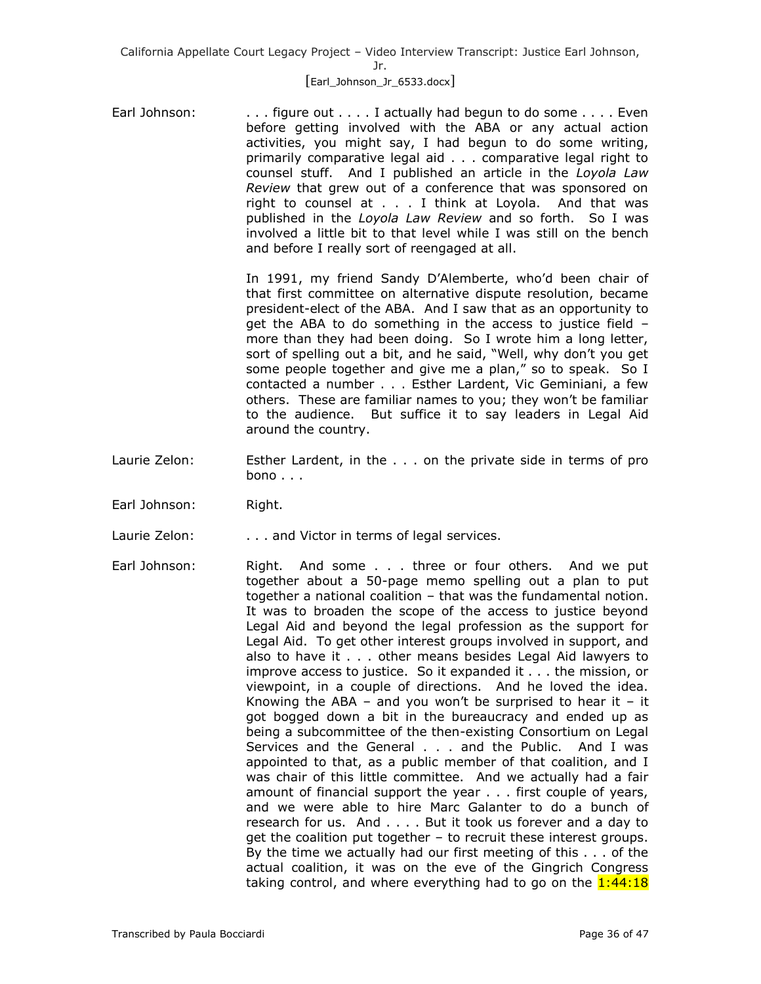## [Earl\_Johnson\_Jr\_6533.docx]

Earl Johnson:  $\ldots$  . . figure out . . . . I actually had begun to do some . . . . Even before getting involved with the ABA or any actual action activities, you might say, I had begun to do some writing, primarily comparative legal aid . . . comparative legal right to counsel stuff. And I published an article in the *Loyola Law Review* that grew out of a conference that was sponsored on right to counsel at . . . I think at Loyola. And that was published in the *Loyola Law Review* and so forth. So I was involved a little bit to that level while I was still on the bench and before I really sort of reengaged at all.

> In 1991, my friend Sandy D'Alemberte, who'd been chair of that first committee on alternative dispute resolution, became president-elect of the ABA. And I saw that as an opportunity to get the ABA to do something in the access to justice field – more than they had been doing. So I wrote him a long letter, sort of spelling out a bit, and he said, "Well, why don't you get some people together and give me a plan," so to speak. So I contacted a number . . . Esther Lardent, Vic Geminiani, a few others. These are familiar names to you; they won't be familiar to the audience. But suffice it to say leaders in Legal Aid around the country.

- Laurie Zelon: Esther Lardent, in the . . . on the private side in terms of pro bono . . .
- Earl Johnson: Right.

Laurie Zelon: . . . . . and Victor in terms of legal services.

Earl Johnson: Right. And some . . . three or four others. And we put together about a 50-page memo spelling out a plan to put together a national coalition – that was the fundamental notion. It was to broaden the scope of the access to justice beyond Legal Aid and beyond the legal profession as the support for Legal Aid. To get other interest groups involved in support, and also to have it . . . other means besides Legal Aid lawyers to improve access to justice. So it expanded it . . . the mission, or viewpoint, in a couple of directions. And he loved the idea. Knowing the ABA – and you won't be surprised to hear it – it got bogged down a bit in the bureaucracy and ended up as being a subcommittee of the then-existing Consortium on Legal Services and the General . . . and the Public. And I was appointed to that, as a public member of that coalition, and I was chair of this little committee. And we actually had a fair amount of financial support the year . . . first couple of years, and we were able to hire Marc Galanter to do a bunch of research for us. And . . . . But it took us forever and a day to get the coalition put together – to recruit these interest groups. By the time we actually had our first meeting of this . . . of the actual coalition, it was on the eve of the Gingrich Congress taking control, and where everything had to go on the  $1:44:18$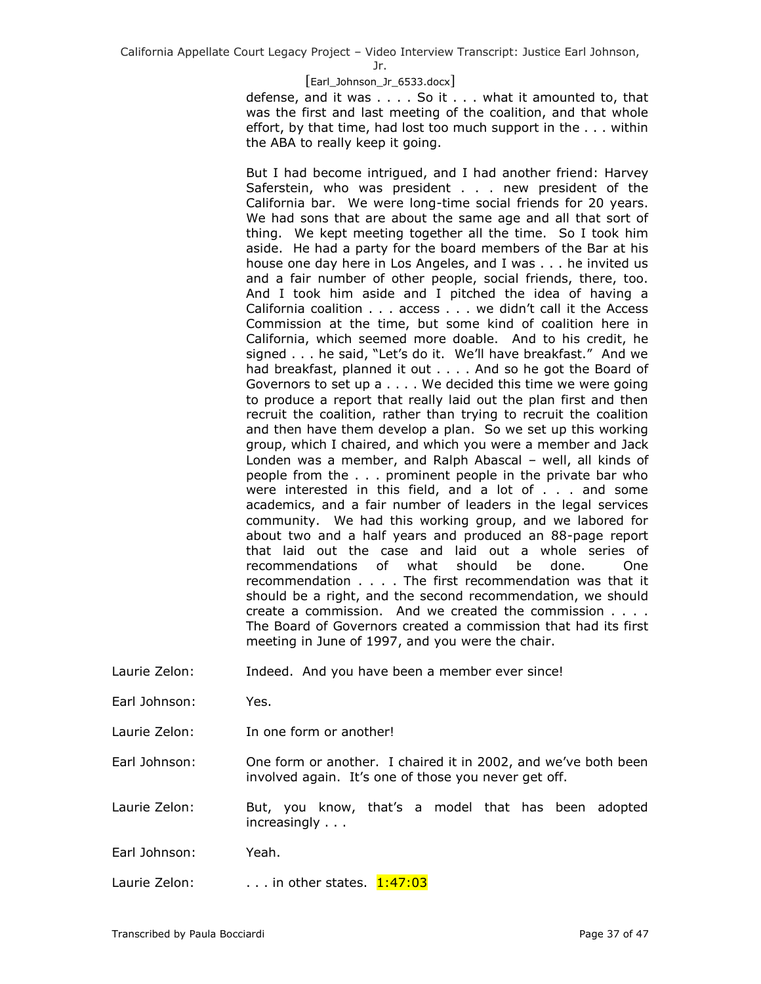Jr.

#### [Earl\_Johnson\_Jr\_6533.docx]

defense, and it was . . . . So it . . . what it amounted to, that was the first and last meeting of the coalition, and that whole effort, by that time, had lost too much support in the . . . within the ABA to really keep it going.

But I had become intrigued, and I had another friend: Harvey Saferstein, who was president . . . new president of the California bar. We were long-time social friends for 20 years. We had sons that are about the same age and all that sort of thing. We kept meeting together all the time. So I took him aside. He had a party for the board members of the Bar at his house one day here in Los Angeles, and I was . . . he invited us and a fair number of other people, social friends, there, too. And I took him aside and I pitched the idea of having a California coalition . . . access . . . we didn't call it the Access Commission at the time, but some kind of coalition here in California, which seemed more doable. And to his credit, he signed . . . he said, "Let's do it. We'll have breakfast." And we had breakfast, planned it out . . . . And so he got the Board of Governors to set up a . . . . We decided this time we were going to produce a report that really laid out the plan first and then recruit the coalition, rather than trying to recruit the coalition and then have them develop a plan. So we set up this working group, which I chaired, and which you were a member and Jack Londen was a member, and Ralph Abascal – well, all kinds of people from the . . . prominent people in the private bar who were interested in this field, and a lot of . . . and some academics, and a fair number of leaders in the legal services community. We had this working group, and we labored for about two and a half years and produced an 88-page report that laid out the case and laid out a whole series of recommendations of what should be done. One recommendation . . . . The first recommendation was that it should be a right, and the second recommendation, we should create a commission. And we created the commission . . . . The Board of Governors created a commission that had its first meeting in June of 1997, and you were the chair.

- Laurie Zelon: Indeed. And you have been a member ever since!
- Earl Johnson: Yes.

Laurie Zelon: In one form or another!

Earl Johnson: One form or another. I chaired it in 2002, and we've both been involved again. It's one of those you never get off.

Laurie Zelon: But, you know, that's a model that has been adopted increasingly . . .

Earl Johnson: Yeah.

Laurie Zelon:  $\ldots$  in other states.  $1:47:03$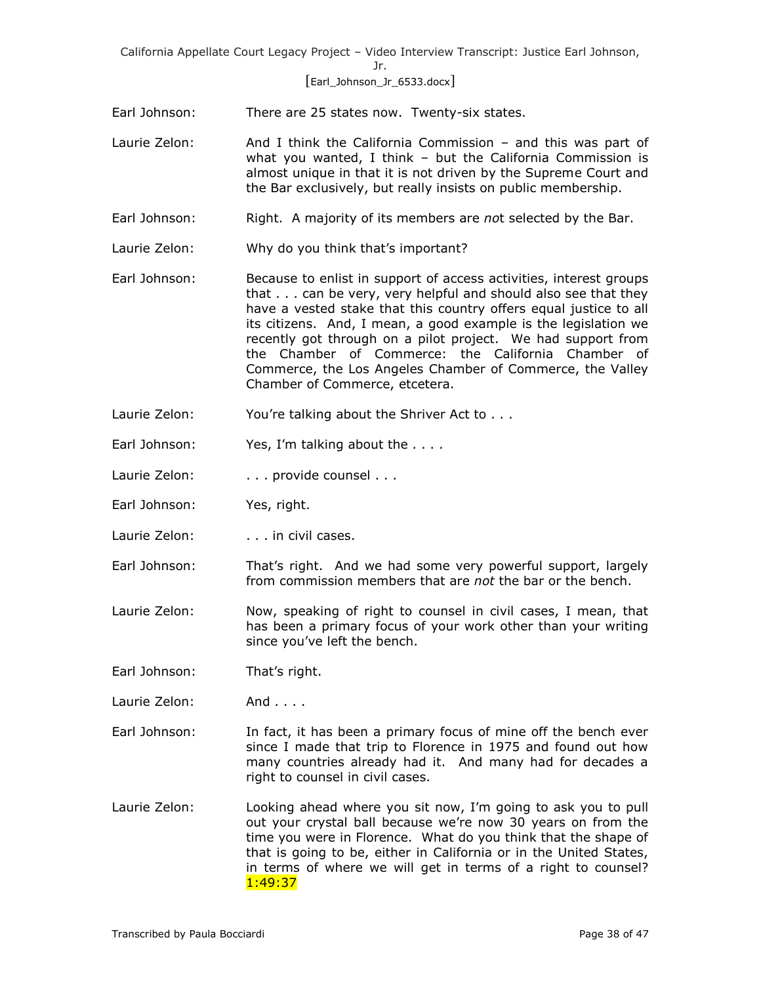## [Earl\_Johnson\_Jr\_6533.docx]

- Earl Johnson: There are 25 states now. Twenty-six states.
- Laurie Zelon: And I think the California Commission and this was part of what you wanted, I think – but the California Commission is almost unique in that it is not driven by the Supreme Court and the Bar exclusively, but really insists on public membership.
- Earl Johnson: Right. A majority of its members are *no*t selected by the Bar.
- Laurie Zelon: Why do you think that's important?
- Earl Johnson: Because to enlist in support of access activities, interest groups that . . . can be very, very helpful and should also see that they have a vested stake that this country offers equal justice to all its citizens. And, I mean, a good example is the legislation we recently got through on a pilot project. We had support from the Chamber of Commerce: the California Chamber of Commerce, the Los Angeles Chamber of Commerce, the Valley Chamber of Commerce, etcetera.
- Laurie Zelon: You're talking about the Shriver Act to . . .
- Earl Johnson: Yes, I'm talking about the ....
- Laurie Zelon: . . . . . provide counsel . . .
- Earl Johnson: Yes, right.
- Laurie Zelon: . . . . . in civil cases.
- Earl Johnson: That's right. And we had some very powerful support, largely from commission members that are *not* the bar or the bench.
- Laurie Zelon: Now, speaking of right to counsel in civil cases, I mean, that has been a primary focus of your work other than your writing since you've left the bench.
- Earl Johnson: That's right.
- Laurie Zelon: And . . . .
- Earl Johnson: In fact, it has been a primary focus of mine off the bench ever since I made that trip to Florence in 1975 and found out how many countries already had it. And many had for decades a right to counsel in civil cases.
- Laurie Zelon: Looking ahead where you sit now, I'm going to ask you to pull out your crystal ball because we're now 30 years on from the time you were in Florence. What do you think that the shape of that is going to be, either in California or in the United States, in terms of where we will get in terms of a right to counsel? 1:49:37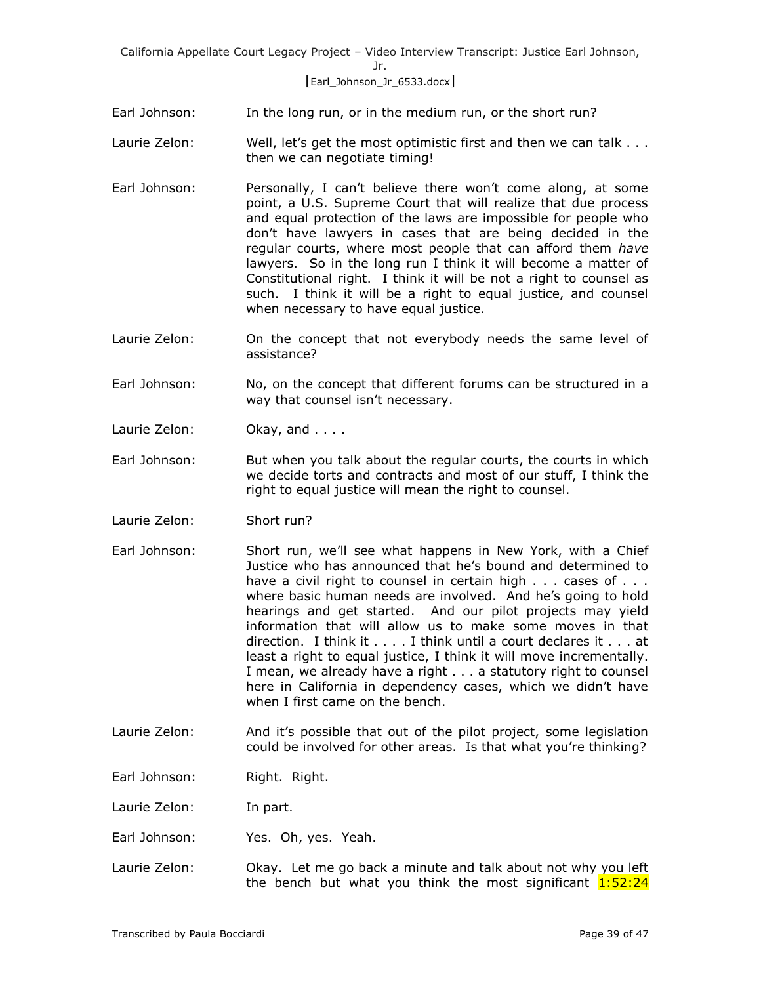# [Earl\_Johnson\_Jr\_6533.docx]

Earl Johnson: In the long run, or in the medium run, or the short run?

- Laurie Zelon: Well, let's get the most optimistic first and then we can talk . . . then we can negotiate timing!
- Earl Johnson: Personally, I can't believe there won't come along, at some point, a U.S. Supreme Court that will realize that due process and equal protection of the laws are impossible for people who don't have lawyers in cases that are being decided in the regular courts, where most people that can afford them *have* lawyers. So in the long run I think it will become a matter of Constitutional right. I think it will be not a right to counsel as such. I think it will be a right to equal justice, and counsel when necessary to have equal justice.
- Laurie Zelon: On the concept that not everybody needs the same level of assistance?
- Earl Johnson: No, on the concept that different forums can be structured in a way that counsel isn't necessary.
- Laurie Zelon: Okay, and . . . .
- Earl Johnson: But when you talk about the regular courts, the courts in which we decide torts and contracts and most of our stuff, I think the right to equal justice will mean the right to counsel.
- Laurie Zelon: Short run?
- Earl Johnson: Short run, we'll see what happens in New York, with a Chief Justice who has announced that he's bound and determined to have a civil right to counsel in certain high . . . cases of . . . where basic human needs are involved. And he's going to hold hearings and get started. And our pilot projects may yield information that will allow us to make some moves in that direction. I think it . . . . I think until a court declares it . . . at least a right to equal justice, I think it will move incrementally. I mean, we already have a right . . . a statutory right to counsel here in California in dependency cases, which we didn't have when I first came on the bench.
- Laurie Zelon: And it's possible that out of the pilot project, some legislation could be involved for other areas. Is that what you're thinking?
- Earl Johnson: Right. Right.

Laurie Zelon: In part.

- Earl Johnson: Yes. Oh, yes. Yeah.
- Laurie Zelon: Okay. Let me go back a minute and talk about not why you left the bench but what you think the most significant  $1:52:24$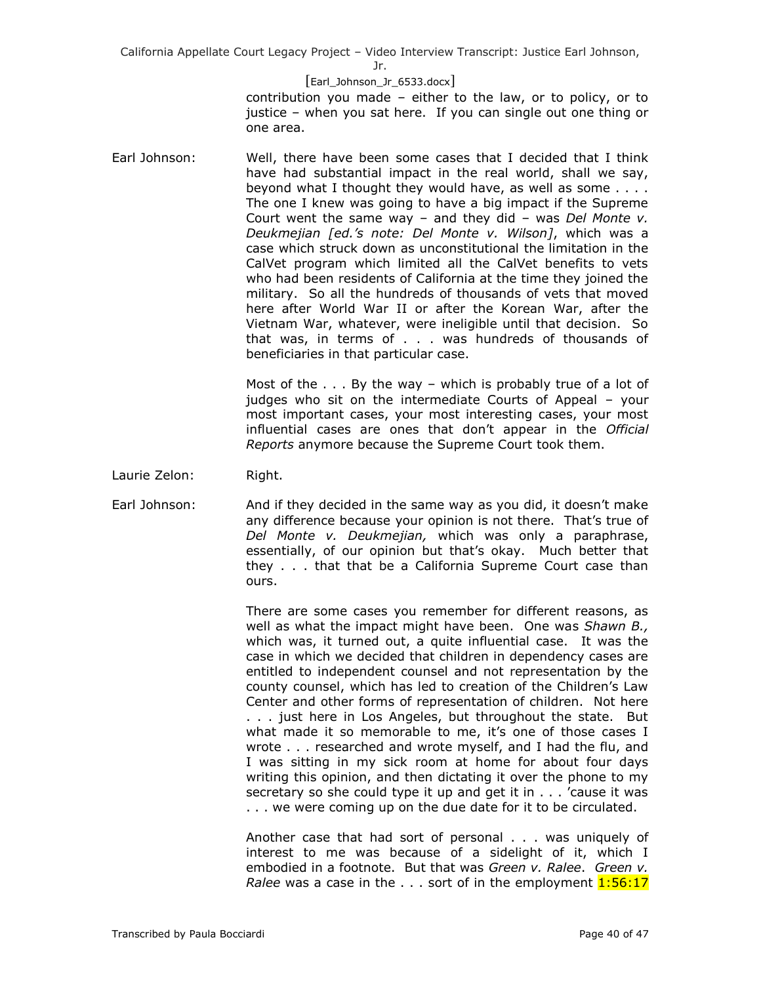Jr.

#### [Earl\_Johnson\_Jr\_6533.docx]

contribution you made – either to the law, or to policy, or to justice – when you sat here. If you can single out one thing or one area.

Earl Johnson: Well, there have been some cases that I decided that I think have had substantial impact in the real world, shall we say, beyond what I thought they would have, as well as some . . . . The one I knew was going to have a big impact if the Supreme Court went the same way – and they did – was *Del Monte v. Deukmejian [ed.'s note: Del Monte v. Wilson]*, which was a case which struck down as unconstitutional the limitation in the CalVet program which limited all the CalVet benefits to vets who had been residents of California at the time they joined the military. So all the hundreds of thousands of vets that moved here after World War II or after the Korean War, after the Vietnam War, whatever, were ineligible until that decision. So that was, in terms of . . . was hundreds of thousands of beneficiaries in that particular case.

> Most of the  $\ldots$  By the way – which is probably true of a lot of judges who sit on the intermediate Courts of Appeal – your most important cases, your most interesting cases, your most influential cases are ones that don't appear in the *Official Reports* anymore because the Supreme Court took them.

Laurie Zelon: Right.

Earl Johnson: And if they decided in the same way as you did, it doesn't make any difference because your opinion is not there. That's true of *Del Monte v. Deukmejian,* which was only a paraphrase, essentially, of our opinion but that's okay. Much better that they . . . that that be a California Supreme Court case than ours.

> There are some cases you remember for different reasons, as well as what the impact might have been. One was *Shawn B.,* which was, it turned out, a quite influential case. It was the case in which we decided that children in dependency cases are entitled to independent counsel and not representation by the county counsel, which has led to creation of the Children's Law Center and other forms of representation of children. Not here . . . just here in Los Angeles, but throughout the state. But what made it so memorable to me, it's one of those cases I wrote . . . researched and wrote myself, and I had the flu, and I was sitting in my sick room at home for about four days writing this opinion, and then dictating it over the phone to my secretary so she could type it up and get it in . . . 'cause it was . . . we were coming up on the due date for it to be circulated.

> Another case that had sort of personal . . . was uniquely of interest to me was because of a sidelight of it, which I embodied in a footnote. But that was *Green v. Ralee*. *Green v. Ralee* was a case in the . . . sort of in the employment  $1:56:17$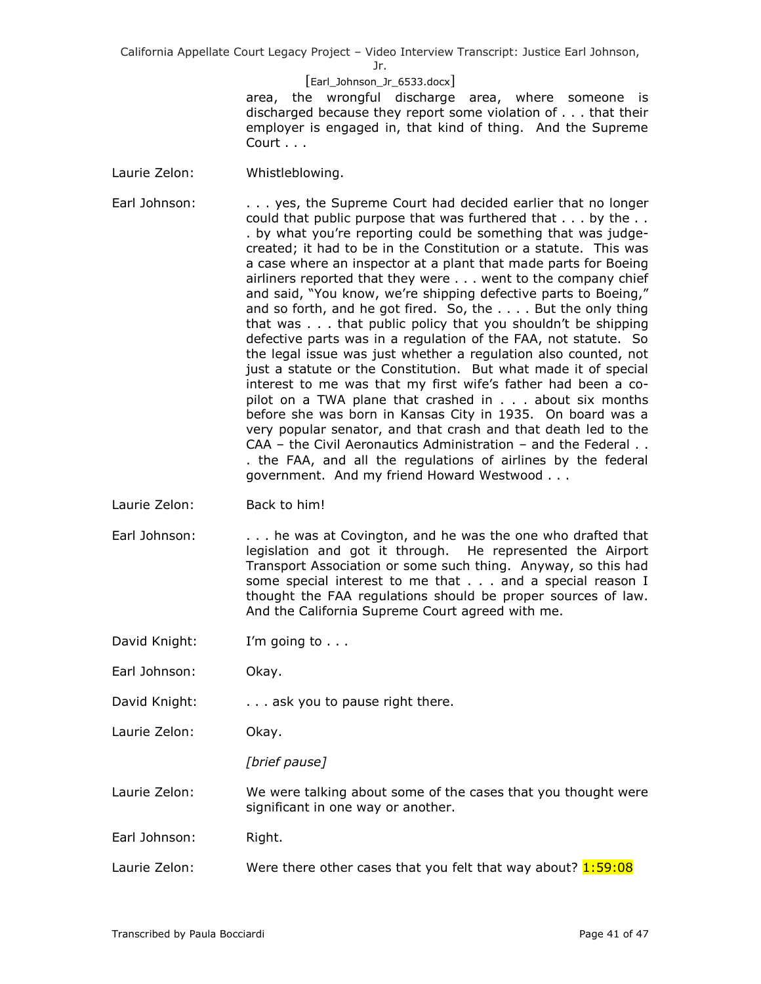Jr.

## [Earl\_Johnson\_Jr\_6533.docx]

area, the wrongful discharge area, where someone is discharged because they report some violation of . . . that their employer is engaged in, that kind of thing. And the Supreme Court . . .

- Laurie Zelon: Whistleblowing.
- Earl Johnson: . . . . . yes, the Supreme Court had decided earlier that no longer could that public purpose that was furthered that . . . by the . . . by what you're reporting could be something that was judgecreated; it had to be in the Constitution or a statute. This was a case where an inspector at a plant that made parts for Boeing airliners reported that they were . . . went to the company chief and said, "You know, we're shipping defective parts to Boeing," and so forth, and he got fired. So, the . . . . But the only thing that was . . . that public policy that you shouldn't be shipping defective parts was in a regulation of the FAA, not statute. So the legal issue was just whether a regulation also counted, not just a statute or the Constitution. But what made it of special interest to me was that my first wife's father had been a copilot on a TWA plane that crashed in . . . about six months before she was born in Kansas City in 1935. On board was a very popular senator, and that crash and that death led to the CAA – the Civil Aeronautics Administration – and the Federal . . . the FAA, and all the regulations of airlines by the federal government. And my friend Howard Westwood . . .
- Laurie Zelon: Back to him!
- Earl Johnson: . . . . he was at Covington, and he was the one who drafted that legislation and got it through. He represented the Airport Transport Association or some such thing. Anyway, so this had some special interest to me that . . . and a special reason I thought the FAA regulations should be proper sources of law. And the California Supreme Court agreed with me.
- David Knight: I'm going to . . .
- Earl Johnson: Okay.
- David Knight: . . . . . . ask you to pause right there.
- Laurie Zelon: Okay.

*[brief pause]* 

Laurie Zelon: We were talking about some of the cases that you thought were significant in one way or another.

- Earl Johnson: Right.
- Laurie Zelon: Were there other cases that you felt that way about?  $1:59:08$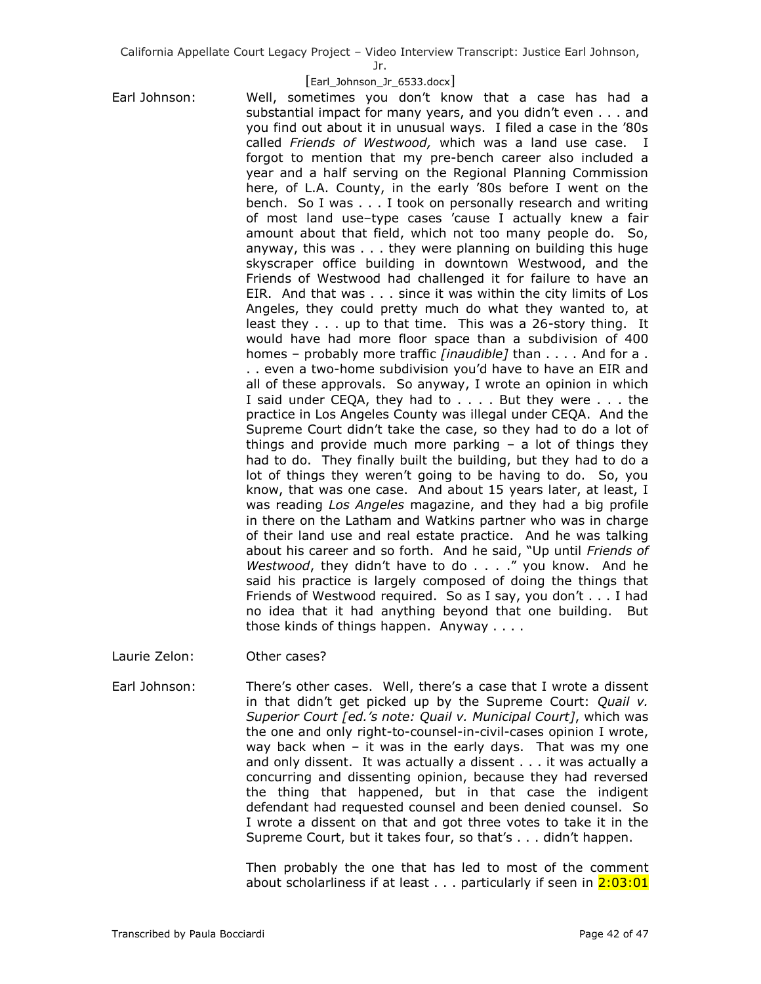Jr.

## [Earl\_Johnson\_Jr\_6533.docx]

Earl Johnson: Well, sometimes you don't know that a case has had a substantial impact for many years, and you didn't even . . . and you find out about it in unusual ways. I filed a case in the '80s called *Friends of Westwood,* which was a land use case. I forgot to mention that my pre-bench career also included a year and a half serving on the Regional Planning Commission here, of L.A. County, in the early '80s before I went on the bench. So I was . . . I took on personally research and writing of most land use–type cases 'cause I actually knew a fair amount about that field, which not too many people do. So, anyway, this was . . . they were planning on building this huge skyscraper office building in downtown Westwood, and the Friends of Westwood had challenged it for failure to have an EIR. And that was . . . since it was within the city limits of Los Angeles, they could pretty much do what they wanted to, at least they . . . up to that time. This was a 26-story thing. It would have had more floor space than a subdivision of 400 homes – probably more traffic *[inaudible]* than . . . . And for a . . . even a two-home subdivision you'd have to have an EIR and all of these approvals. So anyway, I wrote an opinion in which I said under CEQA, they had to . . . . But they were . . . the practice in Los Angeles County was illegal under CEQA. And the Supreme Court didn't take the case, so they had to do a lot of things and provide much more parking – a lot of things they had to do. They finally built the building, but they had to do a lot of things they weren't going to be having to do. So, you know, that was one case. And about 15 years later, at least, I was reading *Los Angeles* magazine, and they had a big profile in there on the Latham and Watkins partner who was in charge of their land use and real estate practice. And he was talking about his career and so forth. And he said, "Up until *Friends of Westwood*, they didn't have to do . . . ." you know. And he said his practice is largely composed of doing the things that Friends of Westwood required. So as I say, you don't . . . I had no idea that it had anything beyond that one building. But those kinds of things happen. Anyway . . . .

Laurie Zelon: Other cases?

Earl Johnson: There's other cases. Well, there's a case that I wrote a dissent in that didn't get picked up by the Supreme Court: *Quail v. Superior Court [ed.'s note: Quail v. Municipal Court]*, which was the one and only right-to-counsel-in-civil-cases opinion I wrote, way back when – it was in the early days. That was my one and only dissent. It was actually a dissent . . . it was actually a concurring and dissenting opinion, because they had reversed the thing that happened, but in that case the indigent defendant had requested counsel and been denied counsel. So I wrote a dissent on that and got three votes to take it in the Supreme Court, but it takes four, so that's . . . didn't happen.

> Then probably the one that has led to most of the comment about scholarliness if at least  $\ldots$  particularly if seen in  $2:03:01$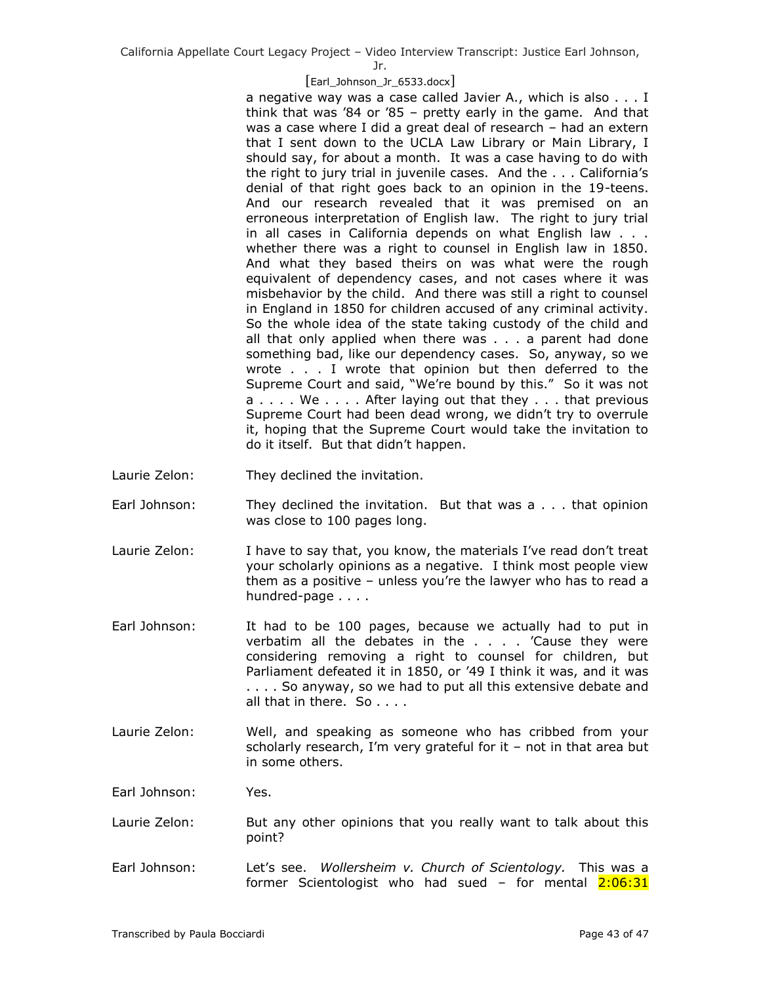Jr.

# [Earl\_Johnson\_Jr\_6533.docx]

a negative way was a case called Javier A., which is also . . . I think that was '84 or '85 – pretty early in the game. And that was a case where I did a great deal of research – had an extern that I sent down to the UCLA Law Library or Main Library, I should say, for about a month. It was a case having to do with the right to jury trial in juvenile cases. And the . . . California's denial of that right goes back to an opinion in the 19-teens. And our research revealed that it was premised on an erroneous interpretation of English law. The right to jury trial in all cases in California depends on what English law . . . whether there was a right to counsel in English law in 1850. And what they based theirs on was what were the rough equivalent of dependency cases, and not cases where it was misbehavior by the child. And there was still a right to counsel in England in 1850 for children accused of any criminal activity. So the whole idea of the state taking custody of the child and all that only applied when there was . . . a parent had done something bad, like our dependency cases. So, anyway, so we wrote . . . I wrote that opinion but then deferred to the Supreme Court and said, "We're bound by this." So it was not a . . . . We . . . . After laying out that they . . . that previous Supreme Court had been dead wrong, we didn't try to overrule it, hoping that the Supreme Court would take the invitation to do it itself. But that didn't happen.

- Laurie Zelon: They declined the invitation.
- Earl Johnson: They declined the invitation. But that was a . . . that opinion was close to 100 pages long.
- Laurie Zelon: I have to say that, you know, the materials I've read don't treat your scholarly opinions as a negative. I think most people view them as a positive – unless you're the lawyer who has to read a hundred-page . . . .
- Earl Johnson: It had to be 100 pages, because we actually had to put in verbatim all the debates in the  $\ldots$  . . . "Cause they were considering removing a right to counsel for children, but Parliament defeated it in 1850, or '49 I think it was, and it was . . . . So anyway, so we had to put all this extensive debate and all that in there. So . . . .
- Laurie Zelon: Well, and speaking as someone who has cribbed from your scholarly research, I'm very grateful for it – not in that area but in some others.
- Earl Johnson: Yes.
- Laurie Zelon: But any other opinions that you really want to talk about this point?
- Earl Johnson: Let's see. *Wollersheim v. Church of Scientology.* This was a former Scientologist who had sued - for mental 2:06:31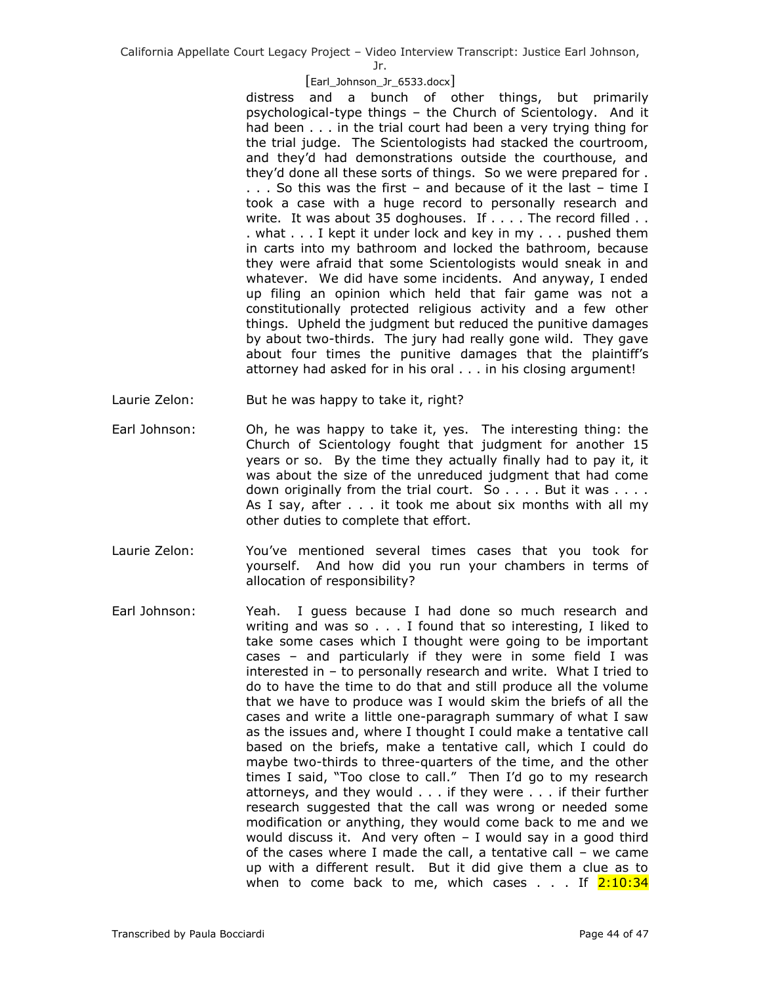Jr.

#### [Earl\_Johnson\_Jr\_6533.docx]

distress and a bunch of other things, but primarily psychological-type things – the Church of Scientology. And it had been . . . in the trial court had been a very trying thing for the trial judge. The Scientologists had stacked the courtroom, and they'd had demonstrations outside the courthouse, and they'd done all these sorts of things. So we were prepared for . . . . So this was the first – and because of it the last – time I took a case with a huge record to personally research and write. It was about 35 doghouses. If . . . . The record filled . . . what . . . I kept it under lock and key in my . . . pushed them in carts into my bathroom and locked the bathroom, because they were afraid that some Scientologists would sneak in and whatever. We did have some incidents. And anyway, I ended up filing an opinion which held that fair game was not a constitutionally protected religious activity and a few other things. Upheld the judgment but reduced the punitive damages by about two-thirds. The jury had really gone wild. They gave about four times the punitive damages that the plaintiff's attorney had asked for in his oral . . . in his closing argument!

- Laurie Zelon: But he was happy to take it, right?
- Earl Johnson: Oh, he was happy to take it, yes. The interesting thing: the Church of Scientology fought that judgment for another 15 years or so. By the time they actually finally had to pay it, it was about the size of the unreduced judgment that had come down originally from the trial court. So  $\dots$ . But it was  $\dots$ . As I say, after . . . it took me about six months with all my other duties to complete that effort.
- Laurie Zelon: You've mentioned several times cases that you took for yourself. And how did you run your chambers in terms of allocation of responsibility?
- Earl Johnson: Yeah. I guess because I had done so much research and writing and was so . . . I found that so interesting, I liked to take some cases which I thought were going to be important cases – and particularly if they were in some field I was interested in – to personally research and write. What I tried to do to have the time to do that and still produce all the volume that we have to produce was I would skim the briefs of all the cases and write a little one-paragraph summary of what I saw as the issues and, where I thought I could make a tentative call based on the briefs, make a tentative call, which I could do maybe two-thirds to three-quarters of the time, and the other times I said, "Too close to call." Then I'd go to my research attorneys, and they would . . . if they were . . . if their further research suggested that the call was wrong or needed some modification or anything, they would come back to me and we would discuss it. And very often – I would say in a good third of the cases where I made the call, a tentative call – we came up with a different result. But it did give them a clue as to when to come back to me, which cases  $\ldots$  If  $2:10:34$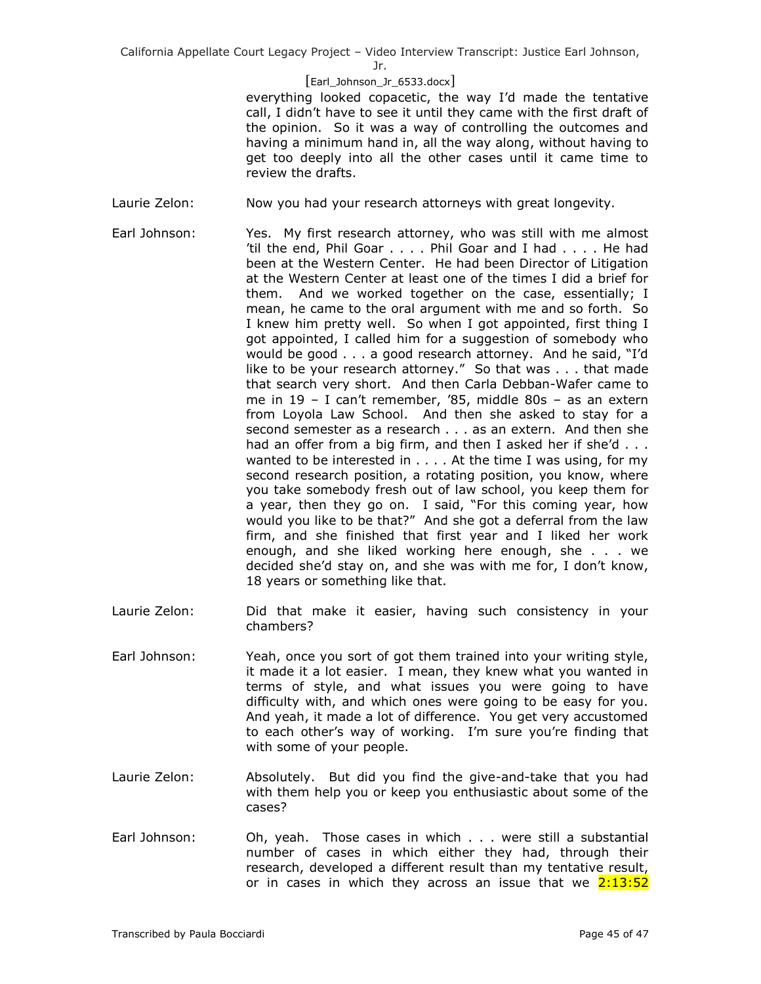Jr.

# [Earl\_Johnson\_Jr\_6533.docx]

everything looked copacetic, the way I'd made the tentative call, I didn't have to see it until they came with the first draft of the opinion. So it was a way of controlling the outcomes and having a minimum hand in, all the way along, without having to get too deeply into all the other cases until it came time to review the drafts.

- Laurie Zelon: Now you had your research attorneys with great longevity.
- Earl Johnson: Yes. My first research attorney, who was still with me almost 'til the end, Phil Goar . . . . Phil Goar and I had . . . . He had been at the Western Center. He had been Director of Litigation at the Western Center at least one of the times I did a brief for them. And we worked together on the case, essentially; I mean, he came to the oral argument with me and so forth. So I knew him pretty well. So when I got appointed, first thing I got appointed, I called him for a suggestion of somebody who would be good . . . a good research attorney. And he said, "I'd like to be your research attorney." So that was . . . that made that search very short. And then Carla Debban-Wafer came to me in 19 – I can't remember, '85, middle 80s – as an extern from Loyola Law School. And then she asked to stay for a second semester as a research . . . as an extern. And then she had an offer from a big firm, and then I asked her if she'd . . . wanted to be interested in  $\dots$ . At the time I was using, for my second research position, a rotating position, you know, where you take somebody fresh out of law school, you keep them for a year, then they go on. I said, "For this coming year, how would you like to be that?" And she got a deferral from the law firm, and she finished that first year and I liked her work enough, and she liked working here enough, she . . . we decided she'd stay on, and she was with me for, I don't know, 18 years or something like that.
- Laurie Zelon: Did that make it easier, having such consistency in your chambers?
- Earl Johnson: Yeah, once you sort of got them trained into your writing style, it made it a lot easier. I mean, they knew what you wanted in terms of style, and what issues you were going to have difficulty with, and which ones were going to be easy for you. And yeah, it made a lot of difference. You get very accustomed to each other's way of working. I'm sure you're finding that with some of your people.
- Laurie Zelon: Absolutely. But did you find the give-and-take that you had with them help you or keep you enthusiastic about some of the cases?
- Earl Johnson: Oh, yeah. Those cases in which . . . were still a substantial number of cases in which either they had, through their research, developed a different result than my tentative result, or in cases in which they across an issue that we  $2:13:52$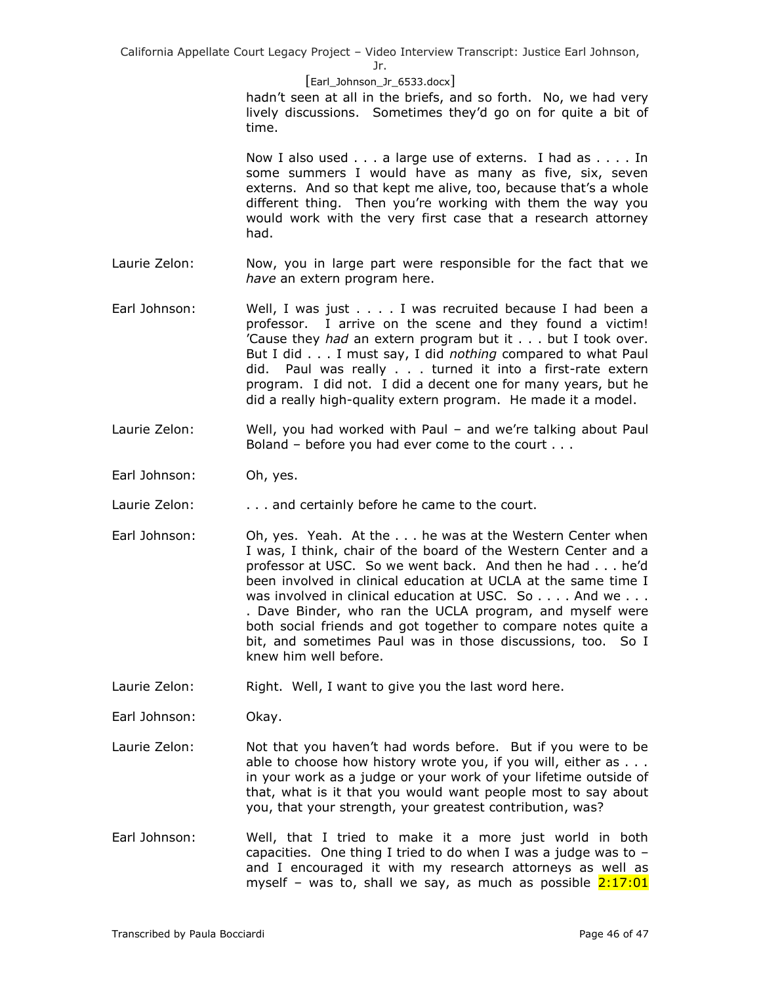[Earl\_Johnson\_Jr\_6533.docx]

hadn't seen at all in the briefs, and so forth. No, we had very lively discussions. Sometimes they'd go on for quite a bit of time.

Now I also used . . . a large use of externs. I had as . . . . In some summers I would have as many as five, six, seven externs. And so that kept me alive, too, because that's a whole different thing. Then you're working with them the way you would work with the very first case that a research attorney had.

- Laurie Zelon: Now, you in large part were responsible for the fact that we *have* an extern program here.
- Earl Johnson: Well, I was just . . . . I was recruited because I had been a professor. I arrive on the scene and they found a victim! 'Cause they *had* an extern program but it . . . but I took over. But I did . . . I must say, I did *nothing* compared to what Paul did. Paul was really . . . turned it into a first-rate extern program. I did not. I did a decent one for many years, but he did a really high-quality extern program. He made it a model.
- Laurie Zelon: Well, you had worked with Paul and we're talking about Paul Boland – before you had ever come to the court . . .
- Earl Johnson: Oh, yes.
- Laurie Zelon: . . . . . and certainly before he came to the court.
- Earl Johnson: Oh, yes. Yeah. At the . . . he was at the Western Center when I was, I think, chair of the board of the Western Center and a professor at USC. So we went back. And then he had . . . he'd been involved in clinical education at UCLA at the same time I was involved in clinical education at USC. So . . . . And we . . . . Dave Binder, who ran the UCLA program, and myself were both social friends and got together to compare notes quite a bit, and sometimes Paul was in those discussions, too. So I knew him well before.
- Laurie Zelon: Right. Well, I want to give you the last word here.

Earl Johnson: Okay.

- Laurie Zelon: Not that you haven't had words before. But if you were to be able to choose how history wrote you, if you will, either as . . . in your work as a judge or your work of your lifetime outside of that, what is it that you would want people most to say about you, that your strength, your greatest contribution, was?
- Earl Johnson: Well, that I tried to make it a more just world in both capacities. One thing I tried to do when I was a judge was to  $$ and I encouraged it with my research attorneys as well as myself – was to, shall we say, as much as possible  $2:17:01$